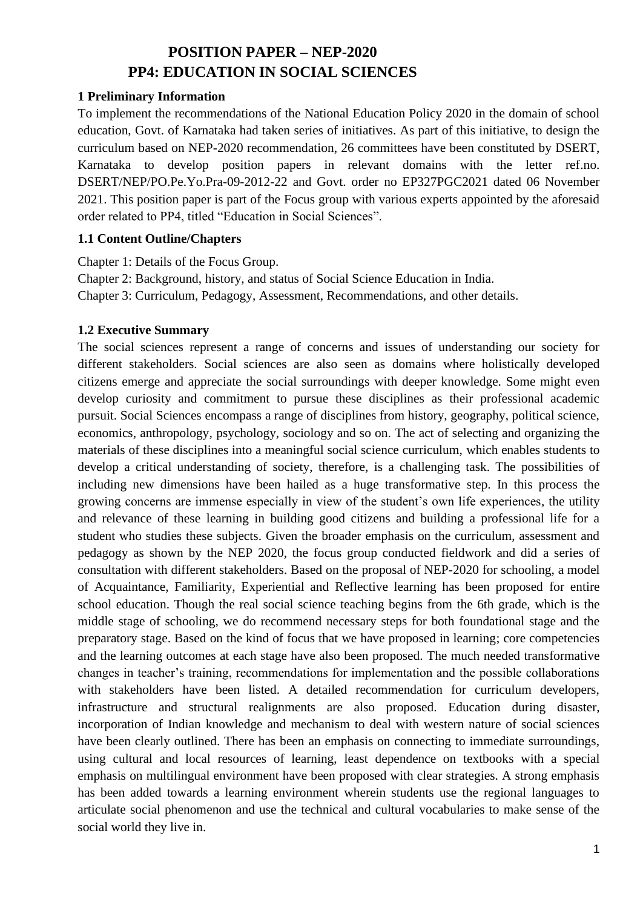# **POSITION PAPER – NEP-2020 PP4: EDUCATION IN SOCIAL SCIENCES**

#### **1 Preliminary Information**

To implement the recommendations of the National Education Policy 2020 in the domain of school education, Govt. of Karnataka had taken series of initiatives. As part of this initiative, to design the curriculum based on NEP-2020 recommendation, 26 committees have been constituted by DSERT, Karnataka to develop position papers in relevant domains with the letter ref.no. DSERT/NEP/PO.Pe.Yo.Pra-09-2012-22 and Govt. order no EP327PGC2021 dated 06 November 2021. This position paper is part of the Focus group with various experts appointed by the aforesaid order related to PP4, titled "Education in Social Sciences".

#### **1.1 Content Outline/Chapters**

Chapter 1: Details of the Focus Group. Chapter 2: Background, history, and status of Social Science Education in India. Chapter 3: Curriculum, Pedagogy, Assessment, Recommendations, and other details.

### **1.2 Executive Summary**

The social sciences represent a range of concerns and issues of understanding our society for different stakeholders. Social sciences are also seen as domains where holistically developed citizens emerge and appreciate the social surroundings with deeper knowledge. Some might even develop curiosity and commitment to pursue these disciplines as their professional academic pursuit. Social Sciences encompass a range of disciplines from history, geography, political science, economics, anthropology, psychology, sociology and so on. The act of selecting and organizing the materials of these disciplines into a meaningful social science curriculum, which enables students to develop a critical understanding of society, therefore, is a challenging task. The possibilities of including new dimensions have been hailed as a huge transformative step. In this process the growing concerns are immense especially in view of the student's own life experiences, the utility and relevance of these learning in building good citizens and building a professional life for a student who studies these subjects. Given the broader emphasis on the curriculum, assessment and pedagogy as shown by the NEP 2020, the focus group conducted fieldwork and did a series of consultation with different stakeholders. Based on the proposal of NEP-2020 for schooling, a model of Acquaintance, Familiarity, Experiential and Reflective learning has been proposed for entire school education. Though the real social science teaching begins from the 6th grade, which is the middle stage of schooling, we do recommend necessary steps for both foundational stage and the preparatory stage. Based on the kind of focus that we have proposed in learning; core competencies and the learning outcomes at each stage have also been proposed. The much needed transformative changes in teacher's training, recommendations for implementation and the possible collaborations with stakeholders have been listed. A detailed recommendation for curriculum developers, infrastructure and structural realignments are also proposed. Education during disaster, incorporation of Indian knowledge and mechanism to deal with western nature of social sciences have been clearly outlined. There has been an emphasis on connecting to immediate surroundings, using cultural and local resources of learning, least dependence on textbooks with a special emphasis on multilingual environment have been proposed with clear strategies. A strong emphasis has been added towards a learning environment wherein students use the regional languages to articulate social phenomenon and use the technical and cultural vocabularies to make sense of the social world they live in.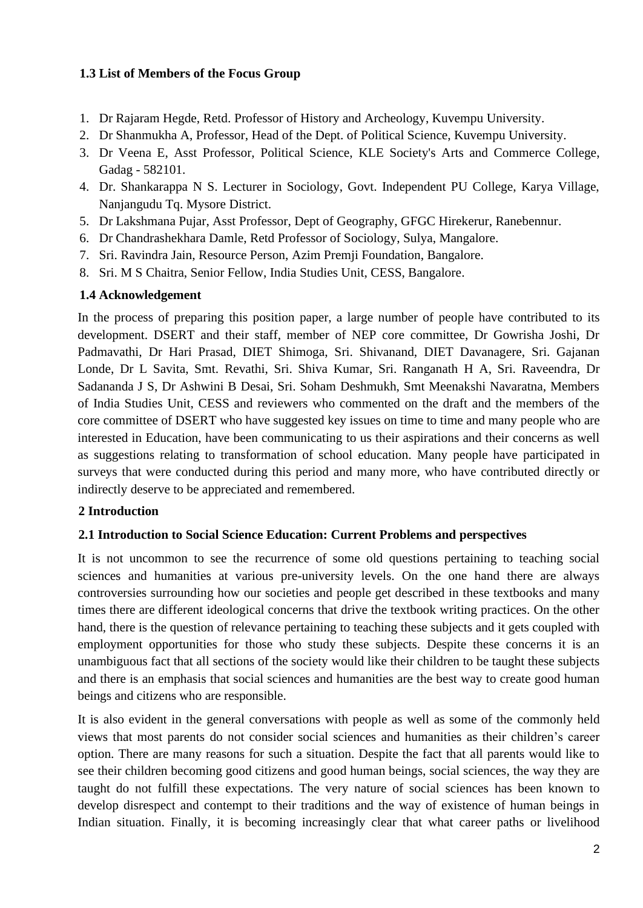### **1.3 List of Members of the Focus Group**

- 1. Dr Rajaram Hegde, Retd. Professor of History and Archeology, Kuvempu University.
- 2. Dr Shanmukha A, Professor, Head of the Dept. of Political Science, Kuvempu University.
- 3. Dr Veena E, Asst Professor, Political Science, KLE Society's Arts and Commerce College, Gadag - 582101.
- 4. Dr. Shankarappa N S. Lecturer in Sociology, Govt. Independent PU College, Karya Village, Nanjangudu Tq. Mysore District.
- 5. Dr Lakshmana Pujar, Asst Professor, Dept of Geography, GFGC Hirekerur, Ranebennur.
- 6. Dr Chandrashekhara Damle, Retd Professor of Sociology, Sulya, Mangalore.
- 7. Sri. Ravindra Jain, Resource Person, Azim Premji Foundation, Bangalore.
- 8. Sri. M S Chaitra, Senior Fellow, India Studies Unit, CESS, Bangalore.

#### **1.4 Acknowledgement**

In the process of preparing this position paper, a large number of people have contributed to its development. DSERT and their staff, member of NEP core committee, Dr Gowrisha Joshi, Dr Padmavathi, Dr Hari Prasad, DIET Shimoga, Sri. Shivanand, DIET Davanagere, Sri. Gajanan Londe, Dr L Savita, Smt. Revathi, Sri. Shiva Kumar, Sri. Ranganath H A, Sri. Raveendra, Dr Sadananda J S, Dr Ashwini B Desai, Sri. Soham Deshmukh, Smt Meenakshi Navaratna, Members of India Studies Unit, CESS and reviewers who commented on the draft and the members of the core committee of DSERT who have suggested key issues on time to time and many people who are interested in Education, have been communicating to us their aspirations and their concerns as well as suggestions relating to transformation of school education. Many people have participated in surveys that were conducted during this period and many more, who have contributed directly or indirectly deserve to be appreciated and remembered.

#### **2 Introduction**

#### **2.1 Introduction to Social Science Education: Current Problems and perspectives**

It is not uncommon to see the recurrence of some old questions pertaining to teaching social sciences and humanities at various pre-university levels. On the one hand there are always controversies surrounding how our societies and people get described in these textbooks and many times there are different ideological concerns that drive the textbook writing practices. On the other hand, there is the question of relevance pertaining to teaching these subjects and it gets coupled with employment opportunities for those who study these subjects. Despite these concerns it is an unambiguous fact that all sections of the society would like their children to be taught these subjects and there is an emphasis that social sciences and humanities are the best way to create good human beings and citizens who are responsible.

It is also evident in the general conversations with people as well as some of the commonly held views that most parents do not consider social sciences and humanities as their children's career option. There are many reasons for such a situation. Despite the fact that all parents would like to see their children becoming good citizens and good human beings, social sciences, the way they are taught do not fulfill these expectations. The very nature of social sciences has been known to develop disrespect and contempt to their traditions and the way of existence of human beings in Indian situation. Finally, it is becoming increasingly clear that what career paths or livelihood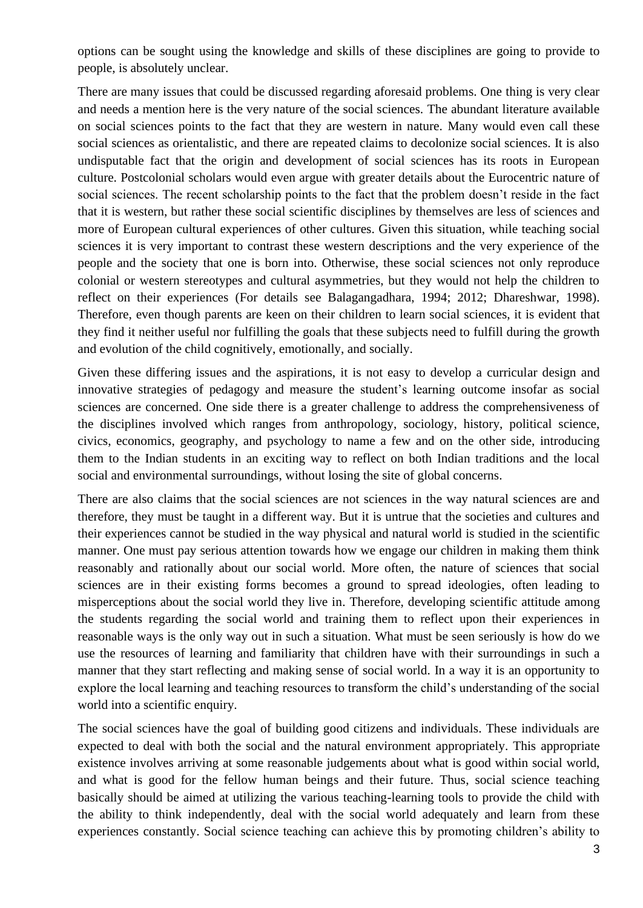options can be sought using the knowledge and skills of these disciplines are going to provide to people, is absolutely unclear.

There are many issues that could be discussed regarding aforesaid problems. One thing is very clear and needs a mention here is the very nature of the social sciences. The abundant literature available on social sciences points to the fact that they are western in nature. Many would even call these social sciences as orientalistic, and there are repeated claims to decolonize social sciences. It is also undisputable fact that the origin and development of social sciences has its roots in European culture. Postcolonial scholars would even argue with greater details about the Eurocentric nature of social sciences. The recent scholarship points to the fact that the problem doesn't reside in the fact that it is western, but rather these social scientific disciplines by themselves are less of sciences and more of European cultural experiences of other cultures. Given this situation, while teaching social sciences it is very important to contrast these western descriptions and the very experience of the people and the society that one is born into. Otherwise, these social sciences not only reproduce colonial or western stereotypes and cultural asymmetries, but they would not help the children to reflect on their experiences (For details see Balagangadhara, 1994; 2012; Dhareshwar, 1998). Therefore, even though parents are keen on their children to learn social sciences, it is evident that they find it neither useful nor fulfilling the goals that these subjects need to fulfill during the growth and evolution of the child cognitively, emotionally, and socially.

Given these differing issues and the aspirations, it is not easy to develop a curricular design and innovative strategies of pedagogy and measure the student's learning outcome insofar as social sciences are concerned. One side there is a greater challenge to address the comprehensiveness of the disciplines involved which ranges from anthropology, sociology, history, political science, civics, economics, geography, and psychology to name a few and on the other side, introducing them to the Indian students in an exciting way to reflect on both Indian traditions and the local social and environmental surroundings, without losing the site of global concerns.

There are also claims that the social sciences are not sciences in the way natural sciences are and therefore, they must be taught in a different way. But it is untrue that the societies and cultures and their experiences cannot be studied in the way physical and natural world is studied in the scientific manner. One must pay serious attention towards how we engage our children in making them think reasonably and rationally about our social world. More often, the nature of sciences that social sciences are in their existing forms becomes a ground to spread ideologies, often leading to misperceptions about the social world they live in. Therefore, developing scientific attitude among the students regarding the social world and training them to reflect upon their experiences in reasonable ways is the only way out in such a situation. What must be seen seriously is how do we use the resources of learning and familiarity that children have with their surroundings in such a manner that they start reflecting and making sense of social world. In a way it is an opportunity to explore the local learning and teaching resources to transform the child's understanding of the social world into a scientific enquiry.

The social sciences have the goal of building good citizens and individuals. These individuals are expected to deal with both the social and the natural environment appropriately. This appropriate existence involves arriving at some reasonable judgements about what is good within social world, and what is good for the fellow human beings and their future. Thus, social science teaching basically should be aimed at utilizing the various teaching-learning tools to provide the child with the ability to think independently, deal with the social world adequately and learn from these experiences constantly. Social science teaching can achieve this by promoting children's ability to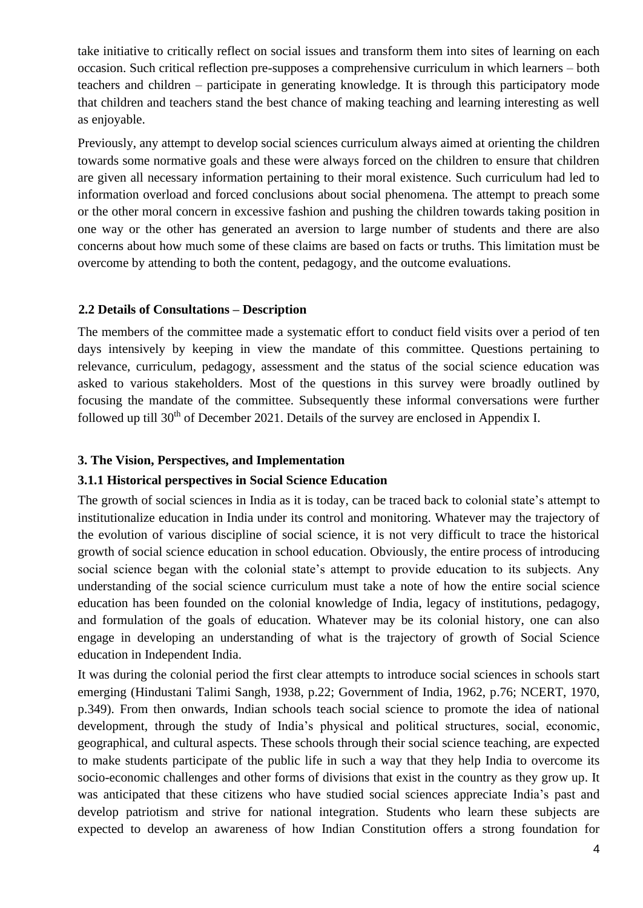take initiative to critically reflect on social issues and transform them into sites of learning on each occasion. Such critical reflection pre-supposes a comprehensive curriculum in which learners – both teachers and children – participate in generating knowledge. It is through this participatory mode that children and teachers stand the best chance of making teaching and learning interesting as well as enjoyable.

Previously, any attempt to develop social sciences curriculum always aimed at orienting the children towards some normative goals and these were always forced on the children to ensure that children are given all necessary information pertaining to their moral existence. Such curriculum had led to information overload and forced conclusions about social phenomena. The attempt to preach some or the other moral concern in excessive fashion and pushing the children towards taking position in one way or the other has generated an aversion to large number of students and there are also concerns about how much some of these claims are based on facts or truths. This limitation must be overcome by attending to both the content, pedagogy, and the outcome evaluations.

#### **2.2 Details of Consultations – Description**

The members of the committee made a systematic effort to conduct field visits over a period of ten days intensively by keeping in view the mandate of this committee. Questions pertaining to relevance, curriculum, pedagogy, assessment and the status of the social science education was asked to various stakeholders. Most of the questions in this survey were broadly outlined by focusing the mandate of the committee. Subsequently these informal conversations were further followed up till 30<sup>th</sup> of December 2021. Details of the survey are enclosed in Appendix I.

#### **3. The Vision, Perspectives, and Implementation**

#### **3.1.1 Historical perspectives in Social Science Education**

The growth of social sciences in India as it is today, can be traced back to colonial state's attempt to institutionalize education in India under its control and monitoring. Whatever may the trajectory of the evolution of various discipline of social science, it is not very difficult to trace the historical growth of social science education in school education. Obviously, the entire process of introducing social science began with the colonial state's attempt to provide education to its subjects. Any understanding of the social science curriculum must take a note of how the entire social science education has been founded on the colonial knowledge of India, legacy of institutions, pedagogy, and formulation of the goals of education. Whatever may be its colonial history, one can also engage in developing an understanding of what is the trajectory of growth of Social Science education in Independent India.

It was during the colonial period the first clear attempts to introduce social sciences in schools start emerging (Hindustani Talimi Sangh, 1938, p.22; Government of India, 1962, p.76; NCERT, 1970, p.349). From then onwards, Indian schools teach social science to promote the idea of national development, through the study of India's physical and political structures, social, economic, geographical, and cultural aspects. These schools through their social science teaching, are expected to make students participate of the public life in such a way that they help India to overcome its socio-economic challenges and other forms of divisions that exist in the country as they grow up. It was anticipated that these citizens who have studied social sciences appreciate India's past and develop patriotism and strive for national integration. Students who learn these subjects are expected to develop an awareness of how Indian Constitution offers a strong foundation for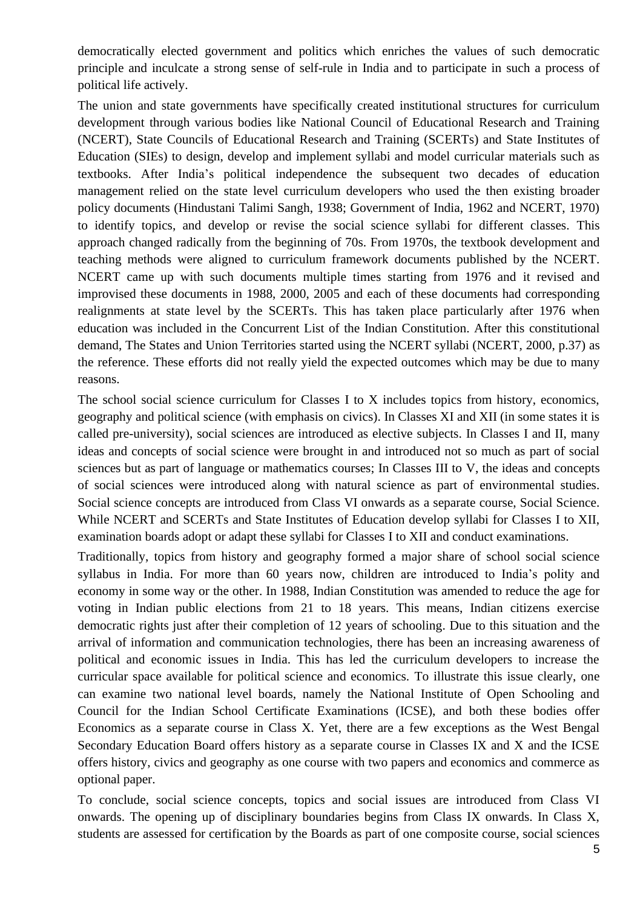democratically elected government and politics which enriches the values of such democratic principle and inculcate a strong sense of self-rule in India and to participate in such a process of political life actively.

The union and state governments have specifically created institutional structures for curriculum development through various bodies like National Council of Educational Research and Training (NCERT), State Councils of Educational Research and Training (SCERTs) and State Institutes of Education (SIEs) to design, develop and implement syllabi and model curricular materials such as textbooks. After India's political independence the subsequent two decades of education management relied on the state level curriculum developers who used the then existing broader policy documents (Hindustani Talimi Sangh, 1938; Government of India, 1962 and NCERT, 1970) to identify topics, and develop or revise the social science syllabi for different classes. This approach changed radically from the beginning of 70s. From 1970s, the textbook development and teaching methods were aligned to curriculum framework documents published by the NCERT. NCERT came up with such documents multiple times starting from 1976 and it revised and improvised these documents in 1988, 2000, 2005 and each of these documents had corresponding realignments at state level by the SCERTs. This has taken place particularly after 1976 when education was included in the Concurrent List of the Indian Constitution. After this constitutional demand, The States and Union Territories started using the NCERT syllabi (NCERT, 2000, p.37) as the reference. These efforts did not really yield the expected outcomes which may be due to many reasons.

The school social science curriculum for Classes I to X includes topics from history, economics, geography and political science (with emphasis on civics). In Classes XI and XII (in some states it is called pre-university), social sciences are introduced as elective subjects. In Classes I and II, many ideas and concepts of social science were brought in and introduced not so much as part of social sciences but as part of language or mathematics courses; In Classes III to V, the ideas and concepts of social sciences were introduced along with natural science as part of environmental studies. Social science concepts are introduced from Class VI onwards as a separate course, Social Science. While NCERT and SCERTs and State Institutes of Education develop syllabi for Classes I to XII, examination boards adopt or adapt these syllabi for Classes I to XII and conduct examinations.

Traditionally, topics from history and geography formed a major share of school social science syllabus in India. For more than 60 years now, children are introduced to India's polity and economy in some way or the other. In 1988, Indian Constitution was amended to reduce the age for voting in Indian public elections from 21 to 18 years. This means, Indian citizens exercise democratic rights just after their completion of 12 years of schooling. Due to this situation and the arrival of information and communication technologies, there has been an increasing awareness of political and economic issues in India. This has led the curriculum developers to increase the curricular space available for political science and economics. To illustrate this issue clearly, one can examine two national level boards, namely the National Institute of Open Schooling and Council for the Indian School Certificate Examinations (ICSE), and both these bodies offer Economics as a separate course in Class X. Yet, there are a few exceptions as the West Bengal Secondary Education Board offers history as a separate course in Classes IX and X and the ICSE offers history, civics and geography as one course with two papers and economics and commerce as optional paper.

To conclude, social science concepts, topics and social issues are introduced from Class VI onwards. The opening up of disciplinary boundaries begins from Class IX onwards. In Class X, students are assessed for certification by the Boards as part of one composite course, social sciences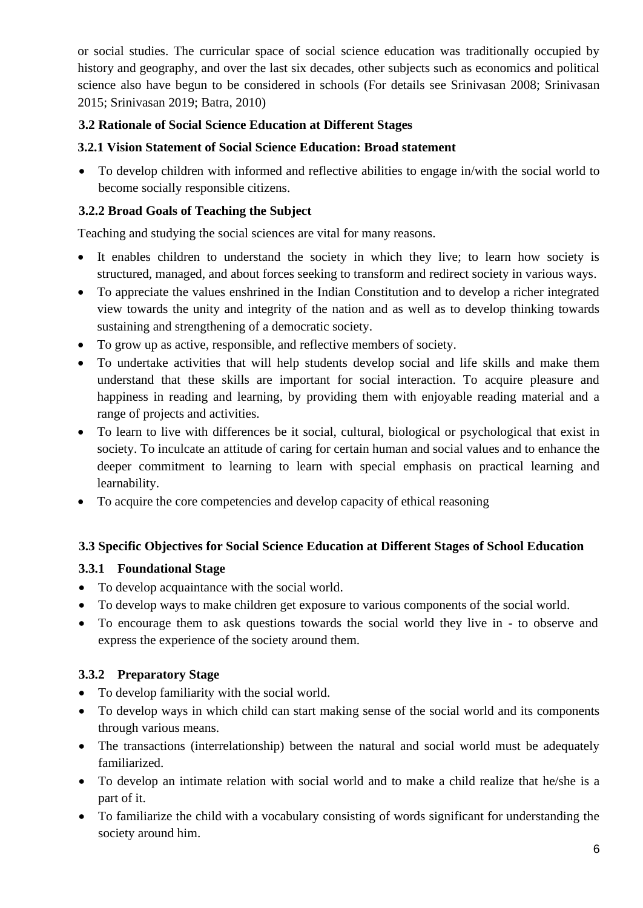or social studies. The curricular space of social science education was traditionally occupied by history and geography, and over the last six decades, other subjects such as economics and political science also have begun to be considered in schools (For details see Srinivasan 2008; Srinivasan 2015; Srinivasan 2019; Batra, 2010)

## **3.2 Rationale of Social Science Education at Different Stages**

## **3.2.1 Vision Statement of Social Science Education: Broad statement**

• To develop children with informed and reflective abilities to engage in/with the social world to become socially responsible citizens.

## **3.2.2 Broad Goals of Teaching the Subject**

Teaching and studying the social sciences are vital for many reasons.

- It enables children to understand the society in which they live; to learn how society is structured, managed, and about forces seeking to transform and redirect society in various ways.
- To appreciate the values enshrined in the Indian Constitution and to develop a richer integrated view towards the unity and integrity of the nation and as well as to develop thinking towards sustaining and strengthening of a democratic society.
- To grow up as active, responsible, and reflective members of society.
- To undertake activities that will help students develop social and life skills and make them understand that these skills are important for social interaction. To acquire pleasure and happiness in reading and learning, by providing them with enjoyable reading material and a range of projects and activities.
- To learn to live with differences be it social, cultural, biological or psychological that exist in society. To inculcate an attitude of caring for certain human and social values and to enhance the deeper commitment to learning to learn with special emphasis on practical learning and learnability.
- To acquire the core competencies and develop capacity of ethical reasoning

### **3.3 Specific Objectives for Social Science Education at Different Stages of School Education**

# **3.3.1 Foundational Stage**

- To develop acquaintance with the social world.
- To develop ways to make children get exposure to various components of the social world.
- To encourage them to ask questions towards the social world they live in to observe and express the experience of the society around them.

# **3.3.2 Preparatory Stage**

- To develop familiarity with the social world.
- To develop ways in which child can start making sense of the social world and its components through various means.
- The transactions (interrelationship) between the natural and social world must be adequately familiarized.
- To develop an intimate relation with social world and to make a child realize that he/she is a part of it.
- To familiarize the child with a vocabulary consisting of words significant for understanding the society around him.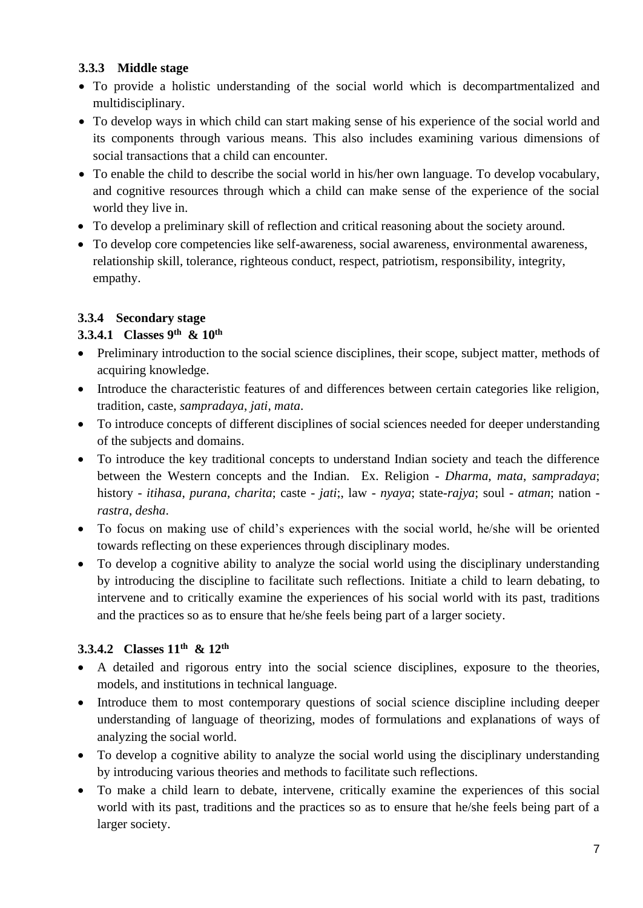## **3.3.3 Middle stage**

- To provide a holistic understanding of the social world which is decompartmentalized and multidisciplinary.
- To develop ways in which child can start making sense of his experience of the social world and its components through various means. This also includes examining various dimensions of social transactions that a child can encounter.
- To enable the child to describe the social world in his/her own language. To develop vocabulary, and cognitive resources through which a child can make sense of the experience of the social world they live in.
- To develop a preliminary skill of reflection and critical reasoning about the society around.
- To develop core competencies like self-awareness, social awareness, environmental awareness, relationship skill, tolerance, righteous conduct, respect, patriotism, responsibility, integrity, empathy.

## **3.3.4 Secondary stage**

# **3.3.4.1 Classes 9 th & 10th**

- Preliminary introduction to the social science disciplines, their scope, subject matter, methods of acquiring knowledge.
- Introduce the characteristic features of and differences between certain categories like religion, tradition, caste, *sampradaya*, *jati*, *mata*.
- To introduce concepts of different disciplines of social sciences needed for deeper understanding of the subjects and domains.
- To introduce the key traditional concepts to understand Indian society and teach the difference between the Western concepts and the Indian. Ex. Religion - *Dharma*, *mata*, *sampradaya*; history - *itihasa*, *purana*, *charita*; caste - *jati*;, law - *nyaya*; state-*rajya*; soul - *atman*; nation *rastra*, *desha*.
- To focus on making use of child's experiences with the social world, he/she will be oriented towards reflecting on these experiences through disciplinary modes.
- To develop a cognitive ability to analyze the social world using the disciplinary understanding by introducing the discipline to facilitate such reflections. Initiate a child to learn debating, to intervene and to critically examine the experiences of his social world with its past, traditions and the practices so as to ensure that he/she feels being part of a larger society.

# **3.3.4.2 Classes 11th & 12th**

- A detailed and rigorous entry into the social science disciplines, exposure to the theories, models, and institutions in technical language.
- Introduce them to most contemporary questions of social science discipline including deeper understanding of language of theorizing, modes of formulations and explanations of ways of analyzing the social world.
- To develop a cognitive ability to analyze the social world using the disciplinary understanding by introducing various theories and methods to facilitate such reflections.
- To make a child learn to debate, intervene, critically examine the experiences of this social world with its past, traditions and the practices so as to ensure that he/she feels being part of a larger society.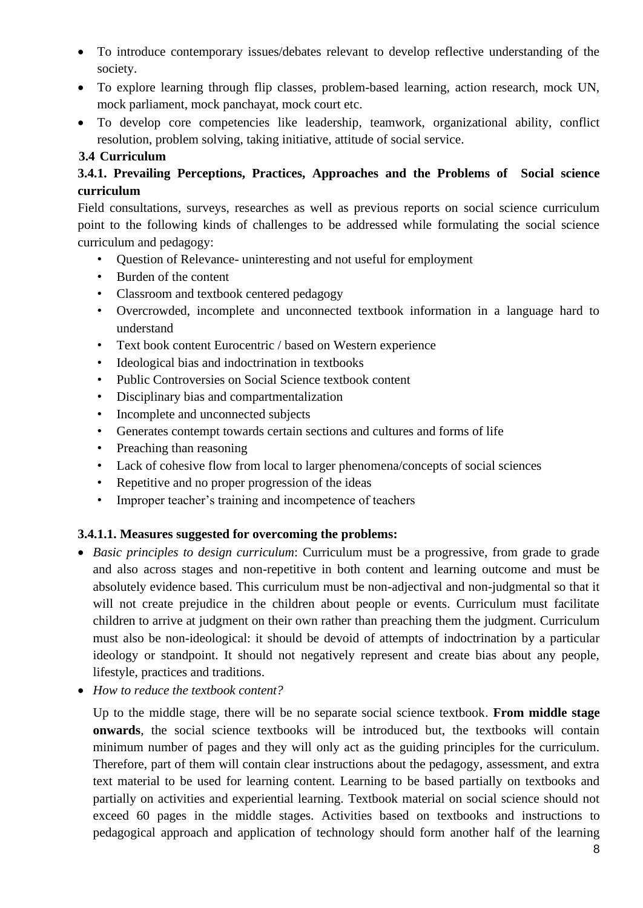- To introduce contemporary issues/debates relevant to develop reflective understanding of the society.
- To explore learning through flip classes, problem-based learning, action research, mock UN, mock parliament, mock panchayat, mock court etc.
- To develop core competencies like leadership, teamwork, organizational ability, conflict resolution, problem solving, taking initiative, attitude of social service.

### **3.4 Curriculum**

# **3.4.1. Prevailing Perceptions, Practices, Approaches and the Problems of Social science curriculum**

Field consultations, surveys, researches as well as previous reports on social science curriculum point to the following kinds of challenges to be addressed while formulating the social science curriculum and pedagogy:

- Question of Relevance- uninteresting and not useful for employment
- Burden of the content
- Classroom and textbook centered pedagogy
- Overcrowded, incomplete and unconnected textbook information in a language hard to understand
- Text book content Eurocentric / based on Western experience
- Ideological bias and indoctrination in textbooks
- Public Controversies on Social Science textbook content
- Disciplinary bias and compartmentalization
- Incomplete and unconnected subjects
- Generates contempt towards certain sections and cultures and forms of life
- Preaching than reasoning
- Lack of cohesive flow from local to larger phenomena/concepts of social sciences
- Repetitive and no proper progression of the ideas
- Improper teacher's training and incompetence of teachers

# **3.4.1.1. Measures suggested for overcoming the problems:**

- *Basic principles to design curriculum*: Curriculum must be a progressive, from grade to grade and also across stages and non-repetitive in both content and learning outcome and must be absolutely evidence based. This curriculum must be non-adjectival and non-judgmental so that it will not create prejudice in the children about people or events. Curriculum must facilitate children to arrive at judgment on their own rather than preaching them the judgment. Curriculum must also be non-ideological: it should be devoid of attempts of indoctrination by a particular ideology or standpoint. It should not negatively represent and create bias about any people, lifestyle, practices and traditions.
- *How to reduce the textbook content?*

Up to the middle stage, there will be no separate social science textbook. **From middle stage onwards**, the social science textbooks will be introduced but, the textbooks will contain minimum number of pages and they will only act as the guiding principles for the curriculum. Therefore, part of them will contain clear instructions about the pedagogy, assessment, and extra text material to be used for learning content. Learning to be based partially on textbooks and partially on activities and experiential learning. Textbook material on social science should not exceed 60 pages in the middle stages. Activities based on textbooks and instructions to pedagogical approach and application of technology should form another half of the learning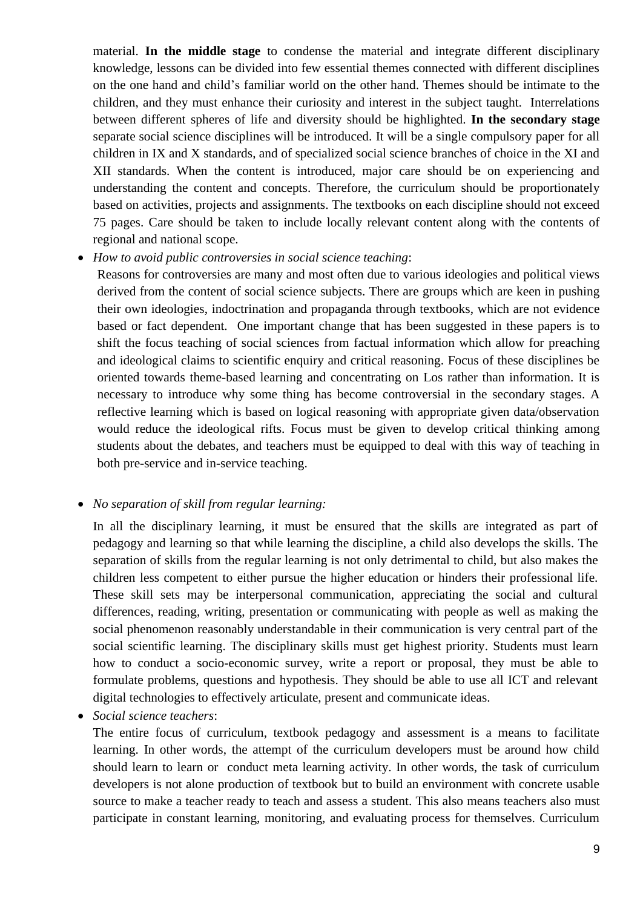material. **In the middle stage** to condense the material and integrate different disciplinary knowledge, lessons can be divided into few essential themes connected with different disciplines on the one hand and child's familiar world on the other hand. Themes should be intimate to the children, and they must enhance their curiosity and interest in the subject taught. Interrelations between different spheres of life and diversity should be highlighted. **In the secondary stage** separate social science disciplines will be introduced. It will be a single compulsory paper for all children in IX and X standards, and of specialized social science branches of choice in the XI and XII standards. When the content is introduced, major care should be on experiencing and understanding the content and concepts. Therefore, the curriculum should be proportionately based on activities, projects and assignments. The textbooks on each discipline should not exceed 75 pages. Care should be taken to include locally relevant content along with the contents of regional and national scope.

- *How to avoid public controversies in social science teaching*:
	- Reasons for controversies are many and most often due to various ideologies and political views derived from the content of social science subjects. There are groups which are keen in pushing their own ideologies, indoctrination and propaganda through textbooks, which are not evidence based or fact dependent. One important change that has been suggested in these papers is to shift the focus teaching of social sciences from factual information which allow for preaching and ideological claims to scientific enquiry and critical reasoning. Focus of these disciplines be oriented towards theme-based learning and concentrating on Los rather than information. It is necessary to introduce why some thing has become controversial in the secondary stages. A reflective learning which is based on logical reasoning with appropriate given data/observation would reduce the ideological rifts. Focus must be given to develop critical thinking among students about the debates, and teachers must be equipped to deal with this way of teaching in both pre-service and in-service teaching.

#### • *No separation of skill from regular learning:*

In all the disciplinary learning, it must be ensured that the skills are integrated as part of pedagogy and learning so that while learning the discipline, a child also develops the skills. The separation of skills from the regular learning is not only detrimental to child, but also makes the children less competent to either pursue the higher education or hinders their professional life. These skill sets may be interpersonal communication, appreciating the social and cultural differences, reading, writing, presentation or communicating with people as well as making the social phenomenon reasonably understandable in their communication is very central part of the social scientific learning. The disciplinary skills must get highest priority. Students must learn how to conduct a socio-economic survey, write a report or proposal, they must be able to formulate problems, questions and hypothesis. They should be able to use all ICT and relevant digital technologies to effectively articulate, present and communicate ideas.

• *Social science teachers*:

The entire focus of curriculum, textbook pedagogy and assessment is a means to facilitate learning. In other words, the attempt of the curriculum developers must be around how child should learn to learn or conduct meta learning activity. In other words, the task of curriculum developers is not alone production of textbook but to build an environment with concrete usable source to make a teacher ready to teach and assess a student. This also means teachers also must participate in constant learning, monitoring, and evaluating process for themselves. Curriculum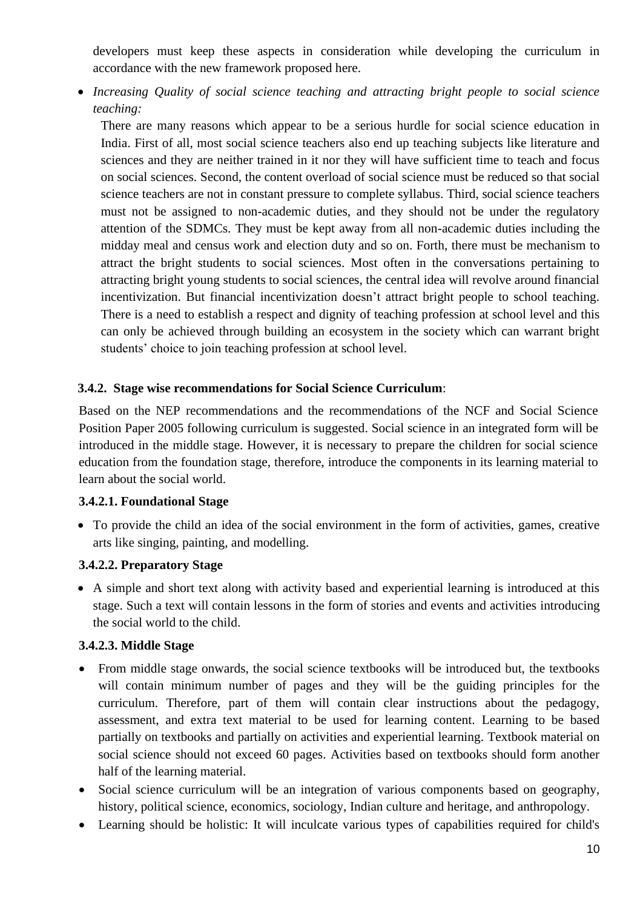developers must keep these aspects in consideration while developing the curriculum in accordance with the new framework proposed here.

• *Increasing Quality of social science teaching and attracting bright people to social science teaching:*

There are many reasons which appear to be a serious hurdle for social science education in India. First of all, most social science teachers also end up teaching subjects like literature and sciences and they are neither trained in it nor they will have sufficient time to teach and focus on social sciences. Second, the content overload of social science must be reduced so that social science teachers are not in constant pressure to complete syllabus. Third, social science teachers must not be assigned to non-academic duties, and they should not be under the regulatory attention of the SDMCs. They must be kept away from all non-academic duties including the midday meal and census work and election duty and so on. Forth, there must be mechanism to attract the bright students to social sciences. Most often in the conversations pertaining to attracting bright young students to social sciences, the central idea will revolve around financial incentivization. But financial incentivization doesn't attract bright people to school teaching. There is a need to establish a respect and dignity of teaching profession at school level and this can only be achieved through building an ecosystem in the society which can warrant bright students' choice to join teaching profession at school level.

### **3.4.2. Stage wise recommendations for Social Science Curriculum**:

Based on the NEP recommendations and the recommendations of the NCF and Social Science Position Paper 2005 following curriculum is suggested. Social science in an integrated form will be introduced in the middle stage. However, it is necessary to prepare the children for social science education from the foundation stage, therefore, introduce the components in its learning material to learn about the social world.

#### **3.4.2.1. Foundational Stage**

• To provide the child an idea of the social environment in the form of activities, games, creative arts like singing, painting, and modelling.

#### **3.4.2.2. Preparatory Stage**

• A simple and short text along with activity based and experiential learning is introduced at this stage. Such a text will contain lessons in the form of stories and events and activities introducing the social world to the child.

#### **3.4.2.3. Middle Stage**

- From middle stage onwards, the social science textbooks will be introduced but, the textbooks will contain minimum number of pages and they will be the guiding principles for the curriculum. Therefore, part of them will contain clear instructions about the pedagogy, assessment, and extra text material to be used for learning content. Learning to be based partially on textbooks and partially on activities and experiential learning. Textbook material on social science should not exceed 60 pages. Activities based on textbooks should form another half of the learning material.
- Social science curriculum will be an integration of various components based on geography, history, political science, economics, sociology, Indian culture and heritage, and anthropology.
- Learning should be holistic: It will inculcate various types of capabilities required for child's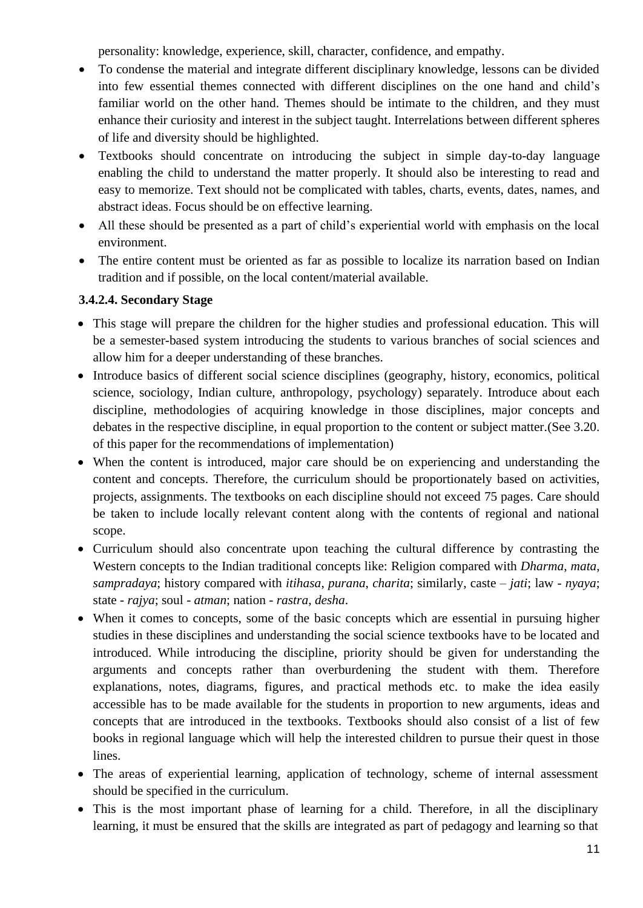personality: knowledge, experience, skill, character, confidence, and empathy.

- To condense the material and integrate different disciplinary knowledge, lessons can be divided into few essential themes connected with different disciplines on the one hand and child's familiar world on the other hand. Themes should be intimate to the children, and they must enhance their curiosity and interest in the subject taught. Interrelations between different spheres of life and diversity should be highlighted.
- Textbooks should concentrate on introducing the subject in simple day-to-day language enabling the child to understand the matter properly. It should also be interesting to read and easy to memorize. Text should not be complicated with tables, charts, events, dates, names, and abstract ideas. Focus should be on effective learning.
- All these should be presented as a part of child's experiential world with emphasis on the local environment.
- The entire content must be oriented as far as possible to localize its narration based on Indian tradition and if possible, on the local content/material available.

### **3.4.2.4. Secondary Stage**

- This stage will prepare the children for the higher studies and professional education. This will be a semester-based system introducing the students to various branches of social sciences and allow him for a deeper understanding of these branches.
- Introduce basics of different social science disciplines (geography, history, economics, political science, sociology, Indian culture, anthropology, psychology) separately. Introduce about each discipline, methodologies of acquiring knowledge in those disciplines, major concepts and debates in the respective discipline, in equal proportion to the content or subject matter.(See 3.20. of this paper for the recommendations of implementation)
- When the content is introduced, major care should be on experiencing and understanding the content and concepts. Therefore, the curriculum should be proportionately based on activities, projects, assignments. The textbooks on each discipline should not exceed 75 pages. Care should be taken to include locally relevant content along with the contents of regional and national scope.
- Curriculum should also concentrate upon teaching the cultural difference by contrasting the Western concepts to the Indian traditional concepts like: Religion compared with *Dharma*, *mata*, *sampradaya*; history compared with *itihasa*, *purana*, *charita*; similarly, caste – *jati*; law *- nyaya*; state - *rajya*; soul - *atman*; nation - *rastra*, *desha*.
- When it comes to concepts, some of the basic concepts which are essential in pursuing higher studies in these disciplines and understanding the social science textbooks have to be located and introduced. While introducing the discipline, priority should be given for understanding the arguments and concepts rather than overburdening the student with them. Therefore explanations, notes, diagrams, figures, and practical methods etc. to make the idea easily accessible has to be made available for the students in proportion to new arguments, ideas and concepts that are introduced in the textbooks. Textbooks should also consist of a list of few books in regional language which will help the interested children to pursue their quest in those lines.
- The areas of experiential learning, application of technology, scheme of internal assessment should be specified in the curriculum.
- This is the most important phase of learning for a child. Therefore, in all the disciplinary learning, it must be ensured that the skills are integrated as part of pedagogy and learning so that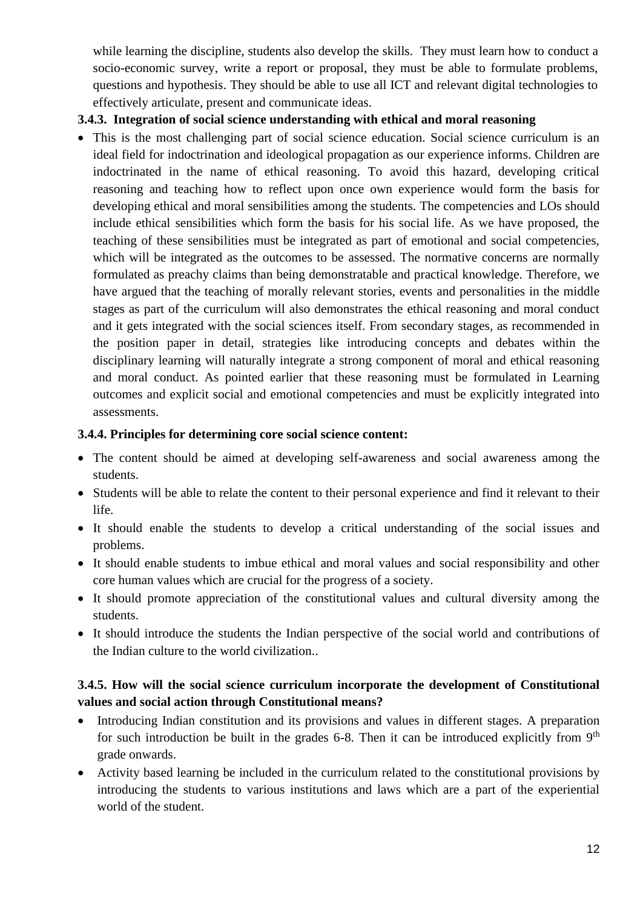while learning the discipline, students also develop the skills. They must learn how to conduct a socio-economic survey, write a report or proposal, they must be able to formulate problems, questions and hypothesis. They should be able to use all ICT and relevant digital technologies to effectively articulate, present and communicate ideas.

### **3.4.3. Integration of social science understanding with ethical and moral reasoning**

• This is the most challenging part of social science education. Social science curriculum is an ideal field for indoctrination and ideological propagation as our experience informs. Children are indoctrinated in the name of ethical reasoning. To avoid this hazard, developing critical reasoning and teaching how to reflect upon once own experience would form the basis for developing ethical and moral sensibilities among the students. The competencies and LOs should include ethical sensibilities which form the basis for his social life. As we have proposed, the teaching of these sensibilities must be integrated as part of emotional and social competencies, which will be integrated as the outcomes to be assessed. The normative concerns are normally formulated as preachy claims than being demonstratable and practical knowledge. Therefore, we have argued that the teaching of morally relevant stories, events and personalities in the middle stages as part of the curriculum will also demonstrates the ethical reasoning and moral conduct and it gets integrated with the social sciences itself. From secondary stages, as recommended in the position paper in detail, strategies like introducing concepts and debates within the disciplinary learning will naturally integrate a strong component of moral and ethical reasoning and moral conduct. As pointed earlier that these reasoning must be formulated in Learning outcomes and explicit social and emotional competencies and must be explicitly integrated into assessments.

### **3.4.4. Principles for determining core social science content:**

- The content should be aimed at developing self-awareness and social awareness among the students.
- Students will be able to relate the content to their personal experience and find it relevant to their life.
- It should enable the students to develop a critical understanding of the social issues and problems.
- It should enable students to imbue ethical and moral values and social responsibility and other core human values which are crucial for the progress of a society.
- It should promote appreciation of the constitutional values and cultural diversity among the students.
- It should introduce the students the Indian perspective of the social world and contributions of the Indian culture to the world civilization..

## **3.4.5. How will the social science curriculum incorporate the development of Constitutional values and social action through Constitutional means?**

- Introducing Indian constitution and its provisions and values in different stages. A preparation for such introduction be built in the grades 6-8. Then it can be introduced explicitly from  $9<sup>th</sup>$ grade onwards.
- Activity based learning be included in the curriculum related to the constitutional provisions by introducing the students to various institutions and laws which are a part of the experiential world of the student.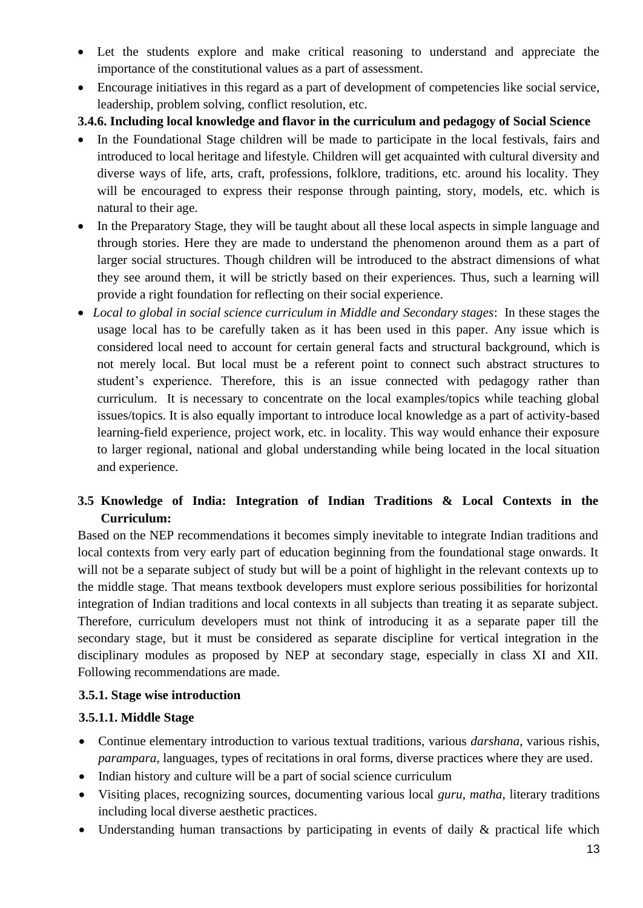- Let the students explore and make critical reasoning to understand and appreciate the importance of the constitutional values as a part of assessment.
- Encourage initiatives in this regard as a part of development of competencies like social service, leadership, problem solving, conflict resolution, etc.

### **3.4.6. Including local knowledge and flavor in the curriculum and pedagogy of Social Science**

- In the Foundational Stage children will be made to participate in the local festivals, fairs and introduced to local heritage and lifestyle. Children will get acquainted with cultural diversity and diverse ways of life, arts, craft, professions, folklore, traditions, etc. around his locality. They will be encouraged to express their response through painting, story, models, etc. which is natural to their age.
- In the Preparatory Stage, they will be taught about all these local aspects in simple language and through stories. Here they are made to understand the phenomenon around them as a part of larger social structures. Though children will be introduced to the abstract dimensions of what they see around them, it will be strictly based on their experiences. Thus, such a learning will provide a right foundation for reflecting on their social experience.
- *Local to global in social science curriculum in Middle and Secondary stages*: In these stages the usage local has to be carefully taken as it has been used in this paper. Any issue which is considered local need to account for certain general facts and structural background, which is not merely local. But local must be a referent point to connect such abstract structures to student's experience. Therefore, this is an issue connected with pedagogy rather than curriculum. It is necessary to concentrate on the local examples/topics while teaching global issues/topics. It is also equally important to introduce local knowledge as a part of activity-based learning-field experience, project work, etc. in locality. This way would enhance their exposure to larger regional, national and global understanding while being located in the local situation and experience.

# **3.5 Knowledge of India: Integration of Indian Traditions & Local Contexts in the Curriculum:**

Based on the NEP recommendations it becomes simply inevitable to integrate Indian traditions and local contexts from very early part of education beginning from the foundational stage onwards. It will not be a separate subject of study but will be a point of highlight in the relevant contexts up to the middle stage. That means textbook developers must explore serious possibilities for horizontal integration of Indian traditions and local contexts in all subjects than treating it as separate subject. Therefore, curriculum developers must not think of introducing it as a separate paper till the secondary stage, but it must be considered as separate discipline for vertical integration in the disciplinary modules as proposed by NEP at secondary stage, especially in class XI and XII. Following recommendations are made.

#### **3.5.1. Stage wise introduction**

### **3.5.1.1. Middle Stage**

- Continue elementary introduction to various textual traditions, various *darshana*, various rishis, *parampara*, languages, types of recitations in oral forms, diverse practices where they are used.
- Indian history and culture will be a part of social science curriculum
- Visiting places, recognizing sources, documenting various local *guru*, *matha*, literary traditions including local diverse aesthetic practices.
- Understanding human transactions by participating in events of daily & practical life which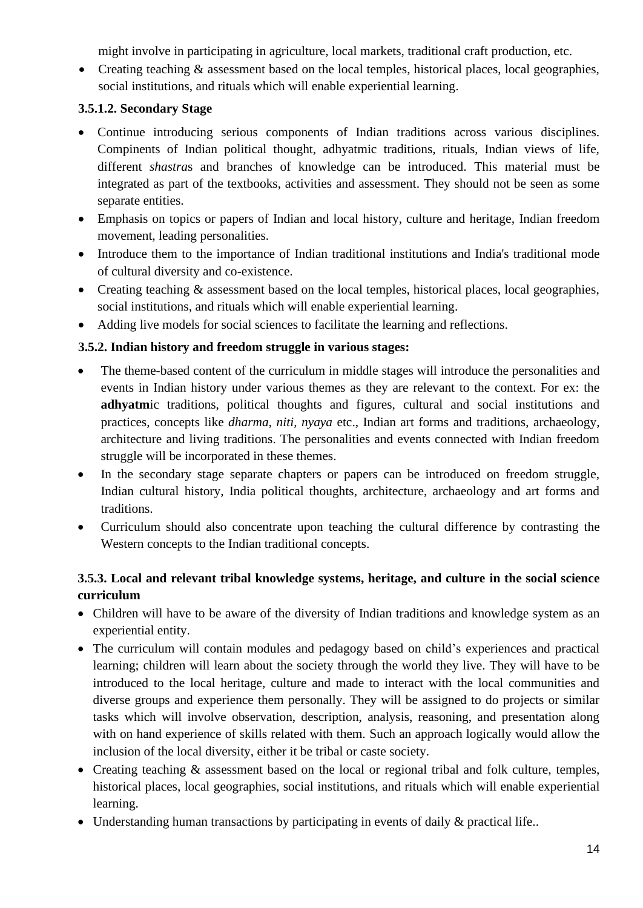might involve in participating in agriculture, local markets, traditional craft production, etc.

• Creating teaching & assessment based on the local temples, historical places, local geographies, social institutions, and rituals which will enable experiential learning.

### **3.5.1.2. Secondary Stage**

- Continue introducing serious components of Indian traditions across various disciplines. Compinents of Indian political thought, adhyatmic traditions, rituals, Indian views of life, different *shastra*s and branches of knowledge can be introduced. This material must be integrated as part of the textbooks, activities and assessment. They should not be seen as some separate entities.
- Emphasis on topics or papers of Indian and local history, culture and heritage, Indian freedom movement, leading personalities.
- Introduce them to the importance of Indian traditional institutions and India's traditional mode of cultural diversity and co-existence.
- Creating teaching  $\&$  assessment based on the local temples, historical places, local geographies, social institutions, and rituals which will enable experiential learning.
- Adding live models for social sciences to facilitate the learning and reflections.

## **3.5.2. Indian history and freedom struggle in various stages:**

- The theme-based content of the curriculum in middle stages will introduce the personalities and events in Indian history under various themes as they are relevant to the context. For ex: the **adhyatm**ic traditions, political thoughts and figures, cultural and social institutions and practices, concepts like *dharma*, *niti, nyaya* etc., Indian art forms and traditions, archaeology, architecture and living traditions. The personalities and events connected with Indian freedom struggle will be incorporated in these themes.
- In the secondary stage separate chapters or papers can be introduced on freedom struggle, Indian cultural history, India political thoughts, architecture, archaeology and art forms and traditions.
- Curriculum should also concentrate upon teaching the cultural difference by contrasting the Western concepts to the Indian traditional concepts.

## **3.5.3. Local and relevant tribal knowledge systems, heritage, and culture in the social science curriculum**

- Children will have to be aware of the diversity of Indian traditions and knowledge system as an experiential entity.
- The curriculum will contain modules and pedagogy based on child's experiences and practical learning; children will learn about the society through the world they live. They will have to be introduced to the local heritage, culture and made to interact with the local communities and diverse groups and experience them personally. They will be assigned to do projects or similar tasks which will involve observation, description, analysis, reasoning, and presentation along with on hand experience of skills related with them. Such an approach logically would allow the inclusion of the local diversity, either it be tribal or caste society.
- Creating teaching & assessment based on the local or regional tribal and folk culture, temples, historical places, local geographies, social institutions, and rituals which will enable experiential learning.
- Understanding human transactions by participating in events of daily & practical life..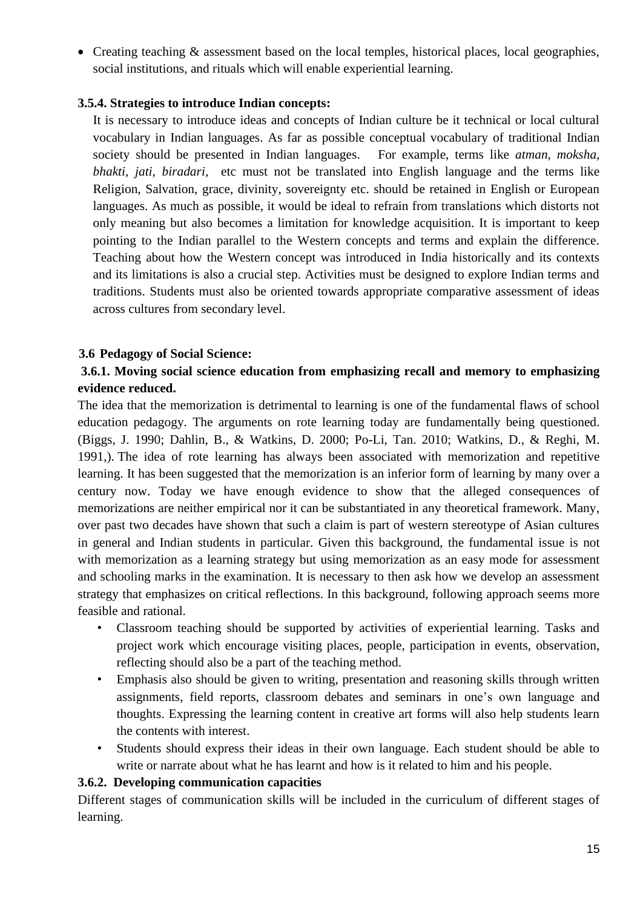• Creating teaching & assessment based on the local temples, historical places, local geographies, social institutions, and rituals which will enable experiential learning.

#### **3.5.4. Strategies to introduce Indian concepts:**

It is necessary to introduce ideas and concepts of Indian culture be it technical or local cultural vocabulary in Indian languages. As far as possible conceptual vocabulary of traditional Indian society should be presented in Indian languages. For example, terms like *atman*, *moksha*, *bhakti*, *jati*, *biradari*, etc must not be translated into English language and the terms like Religion, Salvation, grace, divinity, sovereignty etc. should be retained in English or European languages. As much as possible, it would be ideal to refrain from translations which distorts not only meaning but also becomes a limitation for knowledge acquisition. It is important to keep pointing to the Indian parallel to the Western concepts and terms and explain the difference. Teaching about how the Western concept was introduced in India historically and its contexts and its limitations is also a crucial step. Activities must be designed to explore Indian terms and traditions. Students must also be oriented towards appropriate comparative assessment of ideas across cultures from secondary level.

### **3.6 Pedagogy of Social Science:**

### **3.6.1. Moving social science education from emphasizing recall and memory to emphasizing evidence reduced.**

The idea that the memorization is detrimental to learning is one of the fundamental flaws of school education pedagogy. The arguments on rote learning today are fundamentally being questioned. (Biggs, J. 1990; Dahlin, B., & Watkins, D. 2000; Po-Li, Tan. 2010; Watkins, D., & Reghi, M. 1991,). The idea of rote learning has always been associated with memorization and repetitive learning. It has been suggested that the memorization is an inferior form of learning by many over a century now. Today we have enough evidence to show that the alleged consequences of memorizations are neither empirical nor it can be substantiated in any theoretical framework. Many, over past two decades have shown that such a claim is part of western stereotype of Asian cultures in general and Indian students in particular. Given this background, the fundamental issue is not with memorization as a learning strategy but using memorization as an easy mode for assessment and schooling marks in the examination. It is necessary to then ask how we develop an assessment strategy that emphasizes on critical reflections. In this background, following approach seems more feasible and rational.

- Classroom teaching should be supported by activities of experiential learning. Tasks and project work which encourage visiting places, people, participation in events, observation, reflecting should also be a part of the teaching method.
- Emphasis also should be given to writing, presentation and reasoning skills through written assignments, field reports, classroom debates and seminars in one's own language and thoughts. Expressing the learning content in creative art forms will also help students learn the contents with interest.
- Students should express their ideas in their own language. Each student should be able to write or narrate about what he has learnt and how is it related to him and his people.

#### **3.6.2. Developing communication capacities**

Different stages of communication skills will be included in the curriculum of different stages of learning.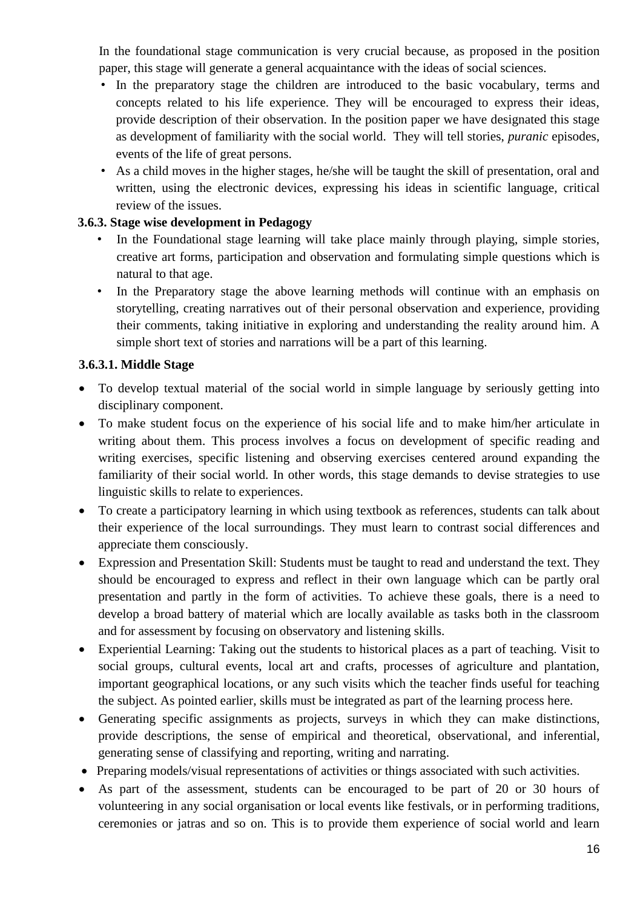In the foundational stage communication is very crucial because, as proposed in the position paper, this stage will generate a general acquaintance with the ideas of social sciences.

- In the preparatory stage the children are introduced to the basic vocabulary, terms and concepts related to his life experience. They will be encouraged to express their ideas, provide description of their observation. In the position paper we have designated this stage as development of familiarity with the social world. They will tell stories, *puranic* episodes, events of the life of great persons.
- As a child moves in the higher stages, he/she will be taught the skill of presentation, oral and written, using the electronic devices, expressing his ideas in scientific language, critical review of the issues.

## **3.6.3. Stage wise development in Pedagogy**

- In the Foundational stage learning will take place mainly through playing, simple stories, creative art forms, participation and observation and formulating simple questions which is natural to that age.
- In the Preparatory stage the above learning methods will continue with an emphasis on storytelling, creating narratives out of their personal observation and experience, providing their comments, taking initiative in exploring and understanding the reality around him. A simple short text of stories and narrations will be a part of this learning.

### **3.6.3.1. Middle Stage**

- To develop textual material of the social world in simple language by seriously getting into disciplinary component.
- To make student focus on the experience of his social life and to make him/her articulate in writing about them. This process involves a focus on development of specific reading and writing exercises, specific listening and observing exercises centered around expanding the familiarity of their social world. In other words, this stage demands to devise strategies to use linguistic skills to relate to experiences.
- To create a participatory learning in which using textbook as references, students can talk about their experience of the local surroundings. They must learn to contrast social differences and appreciate them consciously.
- Expression and Presentation Skill: Students must be taught to read and understand the text. They should be encouraged to express and reflect in their own language which can be partly oral presentation and partly in the form of activities. To achieve these goals, there is a need to develop a broad battery of material which are locally available as tasks both in the classroom and for assessment by focusing on observatory and listening skills.
- Experiential Learning: Taking out the students to historical places as a part of teaching. Visit to social groups, cultural events, local art and crafts, processes of agriculture and plantation, important geographical locations, or any such visits which the teacher finds useful for teaching the subject. As pointed earlier, skills must be integrated as part of the learning process here.
- Generating specific assignments as projects, surveys in which they can make distinctions, provide descriptions, the sense of empirical and theoretical, observational, and inferential, generating sense of classifying and reporting, writing and narrating.
- Preparing models/visual representations of activities or things associated with such activities.
- As part of the assessment, students can be encouraged to be part of 20 or 30 hours of volunteering in any social organisation or local events like festivals, or in performing traditions, ceremonies or jatras and so on. This is to provide them experience of social world and learn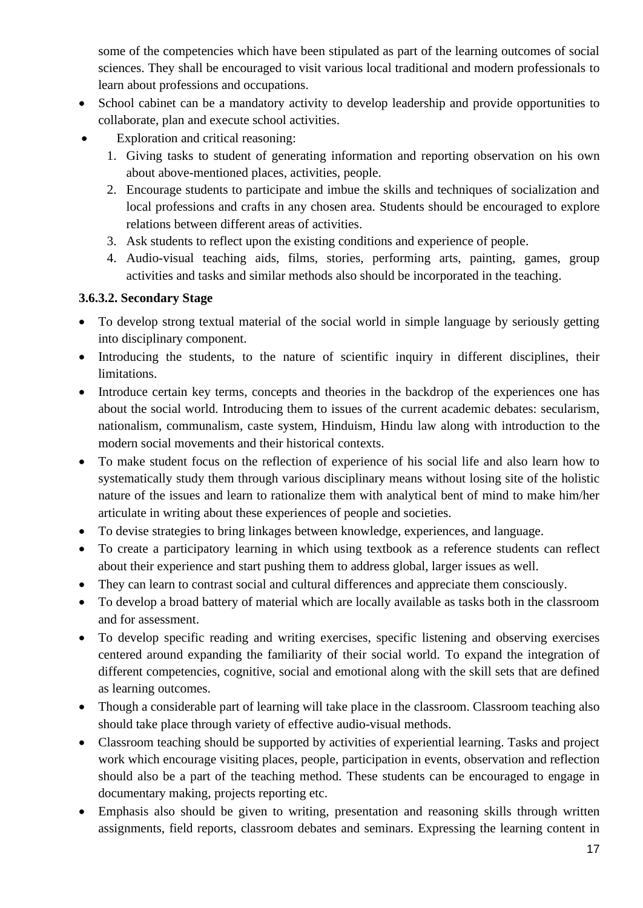some of the competencies which have been stipulated as part of the learning outcomes of social sciences. They shall be encouraged to visit various local traditional and modern professionals to learn about professions and occupations.

- School cabinet can be a mandatory activity to develop leadership and provide opportunities to collaborate, plan and execute school activities.
- Exploration and critical reasoning:
	- 1. Giving tasks to student of generating information and reporting observation on his own about above-mentioned places, activities, people.
	- 2. Encourage students to participate and imbue the skills and techniques of socialization and local professions and crafts in any chosen area. Students should be encouraged to explore relations between different areas of activities.
	- 3. Ask students to reflect upon the existing conditions and experience of people.
	- 4. Audio-visual teaching aids, films, stories, performing arts, painting, games, group activities and tasks and similar methods also should be incorporated in the teaching.

### **3.6.3.2. Secondary Stage**

- To develop strong textual material of the social world in simple language by seriously getting into disciplinary component.
- Introducing the students, to the nature of scientific inquiry in different disciplines, their limitations.
- Introduce certain key terms, concepts and theories in the backdrop of the experiences one has about the social world. Introducing them to issues of the current academic debates: secularism, nationalism, communalism, caste system, Hinduism, Hindu law along with introduction to the modern social movements and their historical contexts.
- To make student focus on the reflection of experience of his social life and also learn how to systematically study them through various disciplinary means without losing site of the holistic nature of the issues and learn to rationalize them with analytical bent of mind to make him/her articulate in writing about these experiences of people and societies.
- To devise strategies to bring linkages between knowledge, experiences, and language.
- To create a participatory learning in which using textbook as a reference students can reflect about their experience and start pushing them to address global, larger issues as well.
- They can learn to contrast social and cultural differences and appreciate them consciously.
- To develop a broad battery of material which are locally available as tasks both in the classroom and for assessment.
- To develop specific reading and writing exercises, specific listening and observing exercises centered around expanding the familiarity of their social world. To expand the integration of different competencies, cognitive, social and emotional along with the skill sets that are defined as learning outcomes.
- Though a considerable part of learning will take place in the classroom. Classroom teaching also should take place through variety of effective audio-visual methods.
- Classroom teaching should be supported by activities of experiential learning. Tasks and project work which encourage visiting places, people, participation in events, observation and reflection should also be a part of the teaching method. These students can be encouraged to engage in documentary making, projects reporting etc.
- Emphasis also should be given to writing, presentation and reasoning skills through written assignments, field reports, classroom debates and seminars. Expressing the learning content in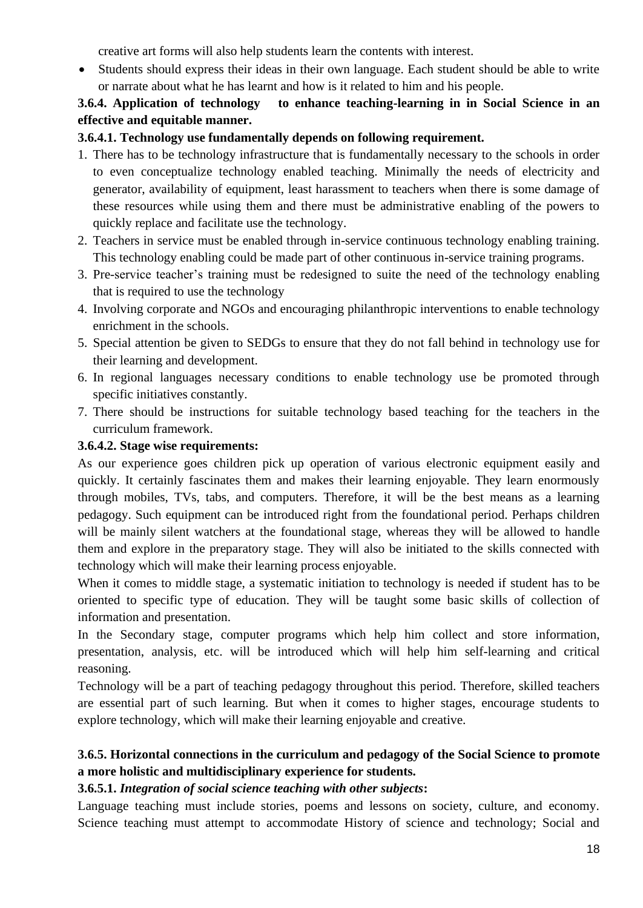creative art forms will also help students learn the contents with interest.

• Students should express their ideas in their own language. Each student should be able to write or narrate about what he has learnt and how is it related to him and his people.

## **3.6.4. Application of technology to enhance teaching-learning in in Social Science in an effective and equitable manner.**

## **3.6.4.1. Technology use fundamentally depends on following requirement.**

- 1. There has to be technology infrastructure that is fundamentally necessary to the schools in order to even conceptualize technology enabled teaching. Minimally the needs of electricity and generator, availability of equipment, least harassment to teachers when there is some damage of these resources while using them and there must be administrative enabling of the powers to quickly replace and facilitate use the technology.
- 2. Teachers in service must be enabled through in-service continuous technology enabling training. This technology enabling could be made part of other continuous in-service training programs.
- 3. Pre-service teacher's training must be redesigned to suite the need of the technology enabling that is required to use the technology
- 4. Involving corporate and NGOs and encouraging philanthropic interventions to enable technology enrichment in the schools.
- 5. Special attention be given to SEDGs to ensure that they do not fall behind in technology use for their learning and development.
- 6. In regional languages necessary conditions to enable technology use be promoted through specific initiatives constantly.
- 7. There should be instructions for suitable technology based teaching for the teachers in the curriculum framework.

### **3.6.4.2. Stage wise requirements:**

As our experience goes children pick up operation of various electronic equipment easily and quickly. It certainly fascinates them and makes their learning enjoyable. They learn enormously through mobiles, TVs, tabs, and computers. Therefore, it will be the best means as a learning pedagogy. Such equipment can be introduced right from the foundational period. Perhaps children will be mainly silent watchers at the foundational stage, whereas they will be allowed to handle them and explore in the preparatory stage. They will also be initiated to the skills connected with technology which will make their learning process enjoyable.

When it comes to middle stage, a systematic initiation to technology is needed if student has to be oriented to specific type of education. They will be taught some basic skills of collection of information and presentation.

In the Secondary stage, computer programs which help him collect and store information, presentation, analysis, etc. will be introduced which will help him self-learning and critical reasoning.

Technology will be a part of teaching pedagogy throughout this period. Therefore, skilled teachers are essential part of such learning. But when it comes to higher stages, encourage students to explore technology, which will make their learning enjoyable and creative.

## **3.6.5. Horizontal connections in the curriculum and pedagogy of the Social Science to promote a more holistic and multidisciplinary experience for students.**

### **3.6.5.1.** *Integration of social science teaching with other subjects***:**

Language teaching must include stories, poems and lessons on society, culture, and economy. Science teaching must attempt to accommodate History of science and technology; Social and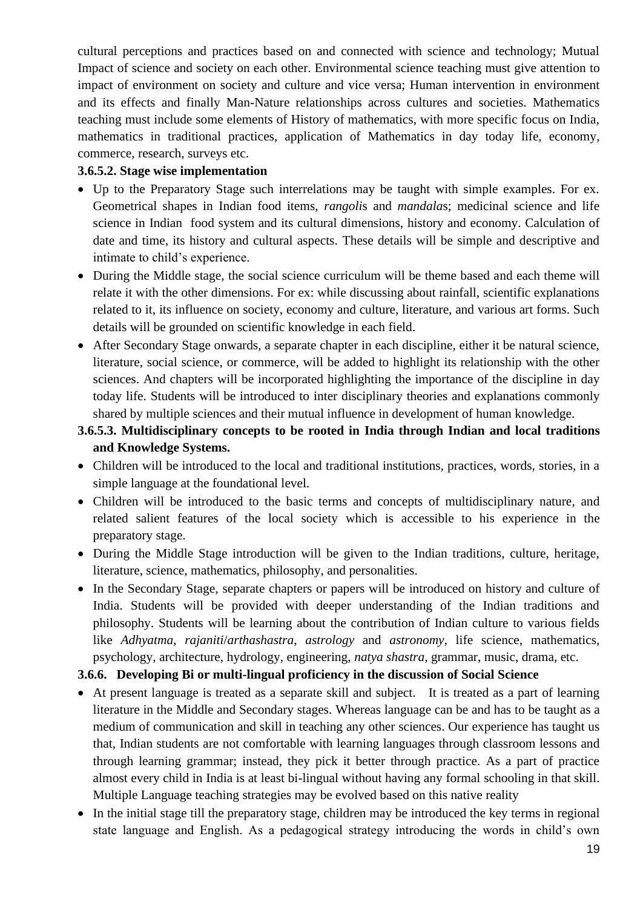cultural perceptions and practices based on and connected with science and technology; Mutual Impact of science and society on each other. Environmental science teaching must give attention to impact of environment on society and culture and vice versa; Human intervention in environment and its effects and finally Man-Nature relationships across cultures and societies. Mathematics teaching must include some elements of History of mathematics, with more specific focus on India, mathematics in traditional practices, application of Mathematics in day today life, economy, commerce, research, surveys etc.

#### **3.6.5.2. Stage wise implementation**

- Up to the Preparatory Stage such interrelations may be taught with simple examples. For ex. Geometrical shapes in Indian food items, *rangoli*s and *mandala*s; medicinal science and life science in Indian food system and its cultural dimensions, history and economy. Calculation of date and time, its history and cultural aspects. These details will be simple and descriptive and intimate to child's experience.
- During the Middle stage, the social science curriculum will be theme based and each theme will relate it with the other dimensions. For ex: while discussing about rainfall, scientific explanations related to it, its influence on society, economy and culture, literature, and various art forms. Such details will be grounded on scientific knowledge in each field.
- After Secondary Stage onwards, a separate chapter in each discipline, either it be natural science, literature, social science, or commerce, will be added to highlight its relationship with the other sciences. And chapters will be incorporated highlighting the importance of the discipline in day today life. Students will be introduced to inter disciplinary theories and explanations commonly shared by multiple sciences and their mutual influence in development of human knowledge.

## **3.6.5.3. Multidisciplinary concepts to be rooted in India through Indian and local traditions and Knowledge Systems.**

- Children will be introduced to the local and traditional institutions, practices, words, stories, in a simple language at the foundational level.
- Children will be introduced to the basic terms and concepts of multidisciplinary nature, and related salient features of the local society which is accessible to his experience in the preparatory stage.
- During the Middle Stage introduction will be given to the Indian traditions, culture, heritage, literature, science, mathematics, philosophy, and personalities.
- In the Secondary Stage, separate chapters or papers will be introduced on history and culture of India. Students will be provided with deeper understanding of the Indian traditions and philosophy. Students will be learning about the contribution of Indian culture to various fields like *Adhyatma, rajaniti*/*arthashastra*, *astrology* and *astronomy*, life science, mathematics, psychology, architecture, hydrology, engineering, *natya shastra*, grammar, music, drama, etc.

### **3.6.6. Developing Bi or multi-lingual proficiency in the discussion of Social Science**

- At present language is treated as a separate skill and subject. It is treated as a part of learning literature in the Middle and Secondary stages. Whereas language can be and has to be taught as a medium of communication and skill in teaching any other sciences. Our experience has taught us that, Indian students are not comfortable with learning languages through classroom lessons and through learning grammar; instead, they pick it better through practice. As a part of practice almost every child in India is at least bi-lingual without having any formal schooling in that skill. Multiple Language teaching strategies may be evolved based on this native reality
- In the initial stage till the preparatory stage, children may be introduced the key terms in regional state language and English. As a pedagogical strategy introducing the words in child's own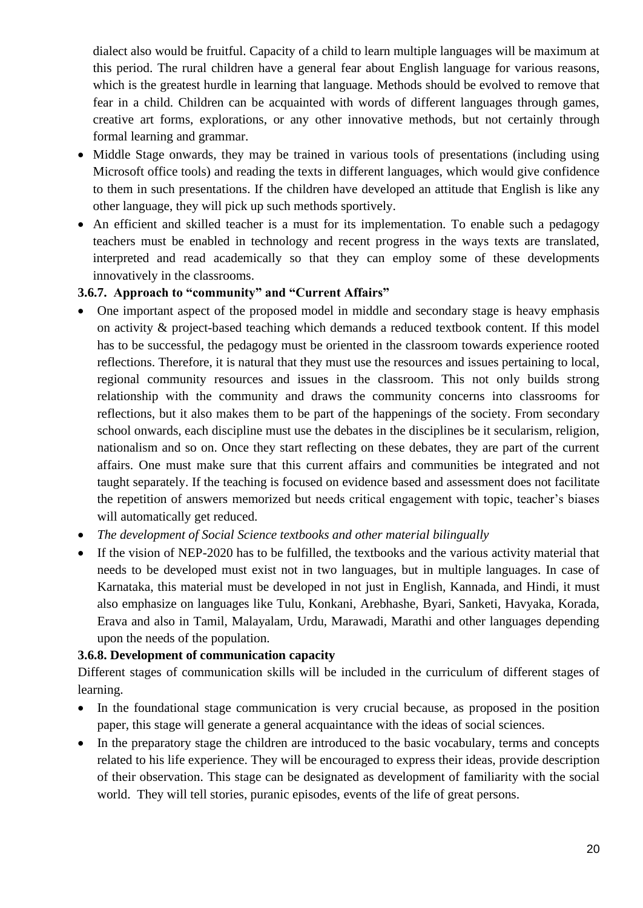dialect also would be fruitful. Capacity of a child to learn multiple languages will be maximum at this period. The rural children have a general fear about English language for various reasons, which is the greatest hurdle in learning that language. Methods should be evolved to remove that fear in a child. Children can be acquainted with words of different languages through games, creative art forms, explorations, or any other innovative methods, but not certainly through formal learning and grammar.

- Middle Stage onwards, they may be trained in various tools of presentations (including using Microsoft office tools) and reading the texts in different languages, which would give confidence to them in such presentations. If the children have developed an attitude that English is like any other language, they will pick up such methods sportively.
- An efficient and skilled teacher is a must for its implementation. To enable such a pedagogy teachers must be enabled in technology and recent progress in the ways texts are translated, interpreted and read academically so that they can employ some of these developments innovatively in the classrooms.

### **3.6.7. Approach to "community" and "Current Affairs"**

- One important aspect of the proposed model in middle and secondary stage is heavy emphasis on activity & project-based teaching which demands a reduced textbook content. If this model has to be successful, the pedagogy must be oriented in the classroom towards experience rooted reflections. Therefore, it is natural that they must use the resources and issues pertaining to local, regional community resources and issues in the classroom. This not only builds strong relationship with the community and draws the community concerns into classrooms for reflections, but it also makes them to be part of the happenings of the society. From secondary school onwards, each discipline must use the debates in the disciplines be it secularism, religion, nationalism and so on. Once they start reflecting on these debates, they are part of the current affairs. One must make sure that this current affairs and communities be integrated and not taught separately. If the teaching is focused on evidence based and assessment does not facilitate the repetition of answers memorized but needs critical engagement with topic, teacher's biases will automatically get reduced.
- *The development of Social Science textbooks and other material bilingually*
- If the vision of NEP-2020 has to be fulfilled, the textbooks and the various activity material that needs to be developed must exist not in two languages, but in multiple languages. In case of Karnataka, this material must be developed in not just in English, Kannada, and Hindi, it must also emphasize on languages like Tulu, Konkani, Arebhashe, Byari, Sanketi, Havyaka, Korada, Erava and also in Tamil, Malayalam, Urdu, Marawadi, Marathi and other languages depending upon the needs of the population.

#### **3.6.8. Development of communication capacity**

Different stages of communication skills will be included in the curriculum of different stages of learning.

- In the foundational stage communication is very crucial because, as proposed in the position paper, this stage will generate a general acquaintance with the ideas of social sciences.
- In the preparatory stage the children are introduced to the basic vocabulary, terms and concepts related to his life experience. They will be encouraged to express their ideas, provide description of their observation. This stage can be designated as development of familiarity with the social world. They will tell stories, puranic episodes, events of the life of great persons.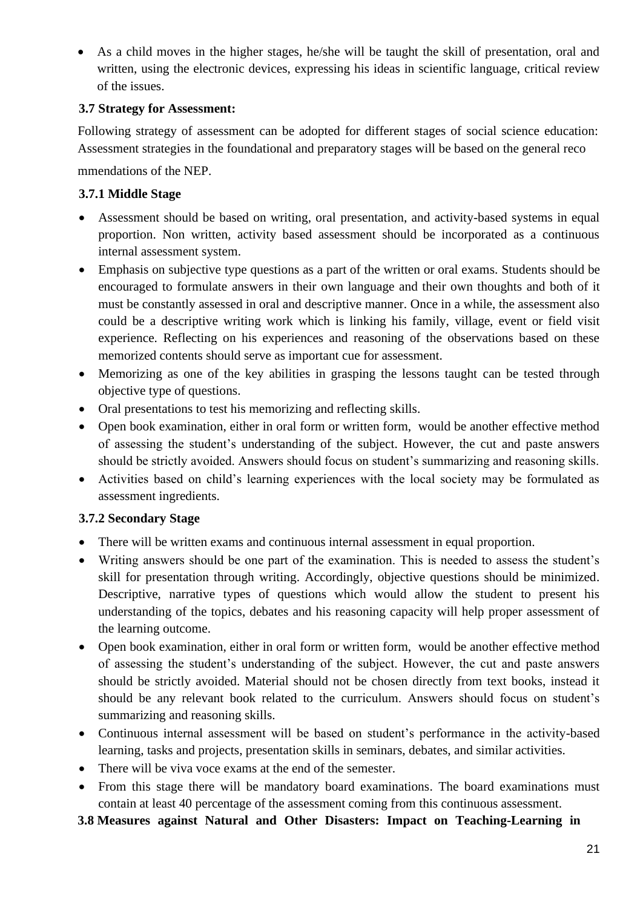• As a child moves in the higher stages, he/she will be taught the skill of presentation, oral and written, using the electronic devices, expressing his ideas in scientific language, critical review of the issues.

### **3.7 Strategy for Assessment:**

Following strategy of assessment can be adopted for different stages of social science education: Assessment strategies in the foundational and preparatory stages will be based on the general reco

mmendations of the NEP.

### **3.7.1 Middle Stage**

- Assessment should be based on writing, oral presentation, and activity-based systems in equal proportion. Non written, activity based assessment should be incorporated as a continuous internal assessment system.
- Emphasis on subjective type questions as a part of the written or oral exams. Students should be encouraged to formulate answers in their own language and their own thoughts and both of it must be constantly assessed in oral and descriptive manner. Once in a while, the assessment also could be a descriptive writing work which is linking his family, village, event or field visit experience. Reflecting on his experiences and reasoning of the observations based on these memorized contents should serve as important cue for assessment.
- Memorizing as one of the key abilities in grasping the lessons taught can be tested through objective type of questions.
- Oral presentations to test his memorizing and reflecting skills.
- Open book examination, either in oral form or written form, would be another effective method of assessing the student's understanding of the subject. However, the cut and paste answers should be strictly avoided. Answers should focus on student's summarizing and reasoning skills.
- Activities based on child's learning experiences with the local society may be formulated as assessment ingredients.

### **3.7.2 Secondary Stage**

- There will be written exams and continuous internal assessment in equal proportion.
- Writing answers should be one part of the examination. This is needed to assess the student's skill for presentation through writing. Accordingly, objective questions should be minimized. Descriptive, narrative types of questions which would allow the student to present his understanding of the topics, debates and his reasoning capacity will help proper assessment of the learning outcome.
- Open book examination, either in oral form or written form, would be another effective method of assessing the student's understanding of the subject. However, the cut and paste answers should be strictly avoided. Material should not be chosen directly from text books, instead it should be any relevant book related to the curriculum. Answers should focus on student's summarizing and reasoning skills.
- Continuous internal assessment will be based on student's performance in the activity-based learning, tasks and projects, presentation skills in seminars, debates, and similar activities.
- There will be viva voce exams at the end of the semester.
- From this stage there will be mandatory board examinations. The board examinations must contain at least 40 percentage of the assessment coming from this continuous assessment.

#### **3.8 Measures against Natural and Other Disasters: Impact on Teaching-Learning in**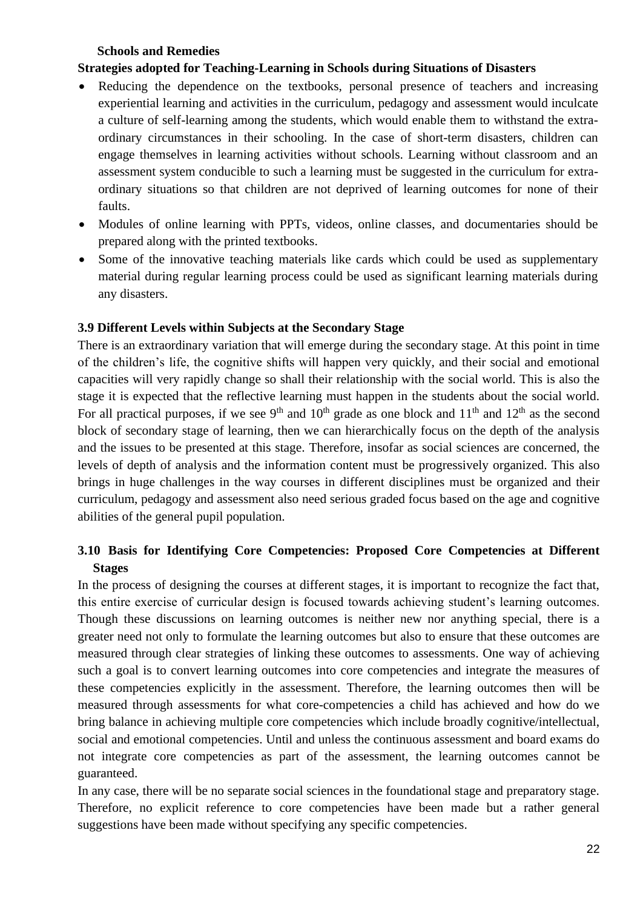#### **Schools and Remedies**

#### **Strategies adopted for Teaching-Learning in Schools during Situations of Disasters**

- Reducing the dependence on the textbooks, personal presence of teachers and increasing experiential learning and activities in the curriculum, pedagogy and assessment would inculcate a culture of self-learning among the students, which would enable them to withstand the extraordinary circumstances in their schooling. In the case of short-term disasters, children can engage themselves in learning activities without schools. Learning without classroom and an assessment system conducible to such a learning must be suggested in the curriculum for extraordinary situations so that children are not deprived of learning outcomes for none of their faults.
- Modules of online learning with PPTs, videos, online classes, and documentaries should be prepared along with the printed textbooks.
- Some of the innovative teaching materials like cards which could be used as supplementary material during regular learning process could be used as significant learning materials during any disasters.

### **3.9 Different Levels within Subjects at the Secondary Stage**

There is an extraordinary variation that will emerge during the secondary stage. At this point in time of the children's life, the cognitive shifts will happen very quickly, and their social and emotional capacities will very rapidly change so shall their relationship with the social world. This is also the stage it is expected that the reflective learning must happen in the students about the social world. For all practical purposes, if we see 9<sup>th</sup> and 10<sup>th</sup> grade as one block and 11<sup>th</sup> and 12<sup>th</sup> as the second block of secondary stage of learning, then we can hierarchically focus on the depth of the analysis and the issues to be presented at this stage. Therefore, insofar as social sciences are concerned, the levels of depth of analysis and the information content must be progressively organized. This also brings in huge challenges in the way courses in different disciplines must be organized and their curriculum, pedagogy and assessment also need serious graded focus based on the age and cognitive abilities of the general pupil population.

## **3.10 Basis for Identifying Core Competencies: Proposed Core Competencies at Different Stages**

In the process of designing the courses at different stages, it is important to recognize the fact that, this entire exercise of curricular design is focused towards achieving student's learning outcomes. Though these discussions on learning outcomes is neither new nor anything special, there is a greater need not only to formulate the learning outcomes but also to ensure that these outcomes are measured through clear strategies of linking these outcomes to assessments. One way of achieving such a goal is to convert learning outcomes into core competencies and integrate the measures of these competencies explicitly in the assessment. Therefore, the learning outcomes then will be measured through assessments for what core-competencies a child has achieved and how do we bring balance in achieving multiple core competencies which include broadly cognitive/intellectual, social and emotional competencies. Until and unless the continuous assessment and board exams do not integrate core competencies as part of the assessment, the learning outcomes cannot be guaranteed.

In any case, there will be no separate social sciences in the foundational stage and preparatory stage. Therefore, no explicit reference to core competencies have been made but a rather general suggestions have been made without specifying any specific competencies.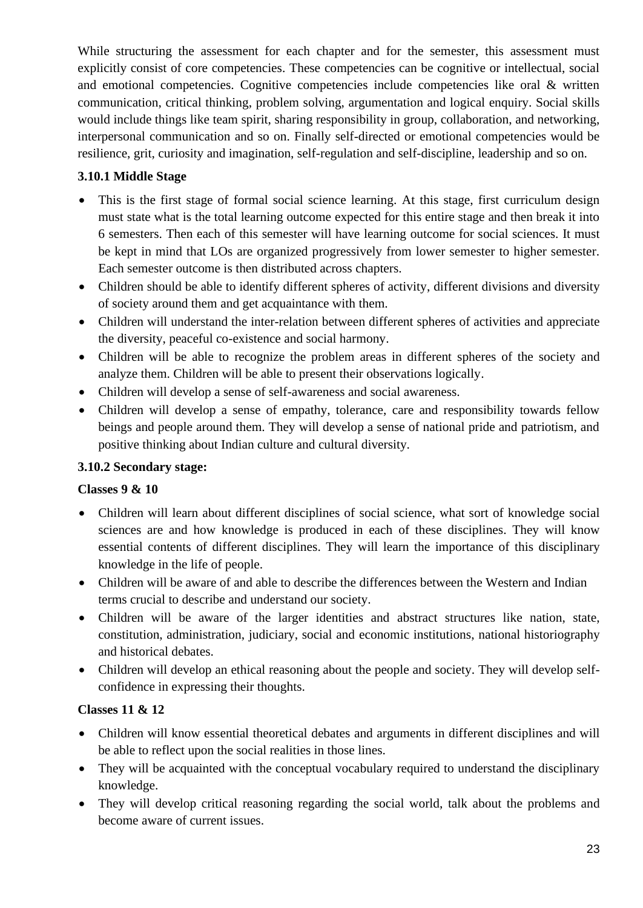While structuring the assessment for each chapter and for the semester, this assessment must explicitly consist of core competencies. These competencies can be cognitive or intellectual, social and emotional competencies. Cognitive competencies include competencies like oral & written communication, critical thinking, problem solving, argumentation and logical enquiry. Social skills would include things like team spirit, sharing responsibility in group, collaboration, and networking, interpersonal communication and so on. Finally self-directed or emotional competencies would be resilience, grit, curiosity and imagination, self-regulation and self-discipline, leadership and so on.

## **3.10.1 Middle Stage**

- This is the first stage of formal social science learning. At this stage, first curriculum design must state what is the total learning outcome expected for this entire stage and then break it into 6 semesters. Then each of this semester will have learning outcome for social sciences. It must be kept in mind that LOs are organized progressively from lower semester to higher semester. Each semester outcome is then distributed across chapters.
- Children should be able to identify different spheres of activity, different divisions and diversity of society around them and get acquaintance with them.
- Children will understand the inter-relation between different spheres of activities and appreciate the diversity, peaceful co-existence and social harmony.
- Children will be able to recognize the problem areas in different spheres of the society and analyze them. Children will be able to present their observations logically.
- Children will develop a sense of self-awareness and social awareness.
- Children will develop a sense of empathy, tolerance, care and responsibility towards fellow beings and people around them. They will develop a sense of national pride and patriotism, and positive thinking about Indian culture and cultural diversity.

### **3.10.2 Secondary stage:**

### **Classes 9 & 10**

- Children will learn about different disciplines of social science, what sort of knowledge social sciences are and how knowledge is produced in each of these disciplines. They will know essential contents of different disciplines. They will learn the importance of this disciplinary knowledge in the life of people.
- Children will be aware of and able to describe the differences between the Western and Indian terms crucial to describe and understand our society.
- Children will be aware of the larger identities and abstract structures like nation, state, constitution, administration, judiciary, social and economic institutions, national historiography and historical debates.
- Children will develop an ethical reasoning about the people and society. They will develop selfconfidence in expressing their thoughts.

# **Classes 11 & 12**

- Children will know essential theoretical debates and arguments in different disciplines and will be able to reflect upon the social realities in those lines.
- They will be acquainted with the conceptual vocabulary required to understand the disciplinary knowledge.
- They will develop critical reasoning regarding the social world, talk about the problems and become aware of current issues.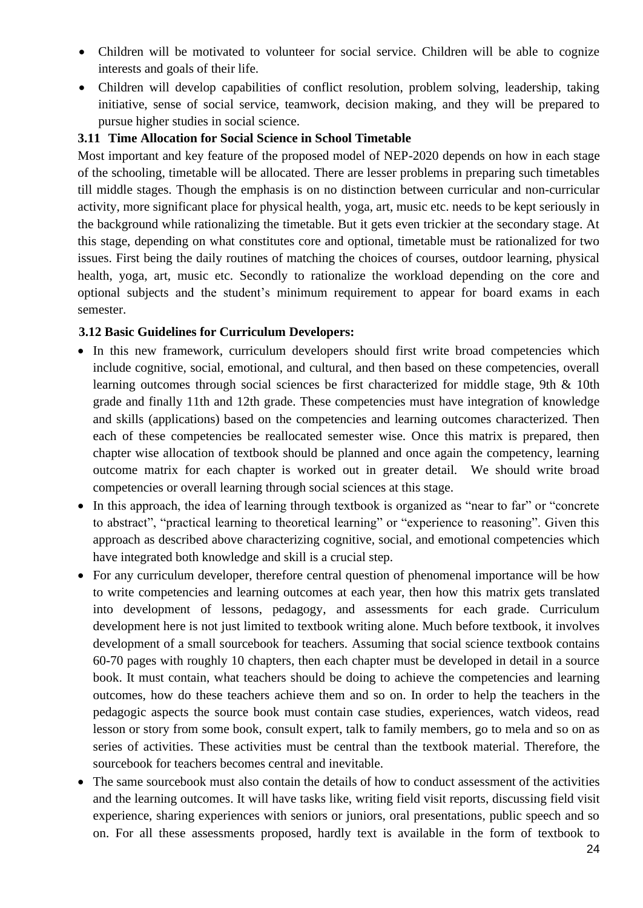- Children will be motivated to volunteer for social service. Children will be able to cognize interests and goals of their life.
- Children will develop capabilities of conflict resolution, problem solving, leadership, taking initiative, sense of social service, teamwork, decision making, and they will be prepared to pursue higher studies in social science.

#### **3.11 Time Allocation for Social Science in School Timetable**

Most important and key feature of the proposed model of NEP-2020 depends on how in each stage of the schooling, timetable will be allocated. There are lesser problems in preparing such timetables till middle stages. Though the emphasis is on no distinction between curricular and non-curricular activity, more significant place for physical health, yoga, art, music etc. needs to be kept seriously in the background while rationalizing the timetable. But it gets even trickier at the secondary stage. At this stage, depending on what constitutes core and optional, timetable must be rationalized for two issues. First being the daily routines of matching the choices of courses, outdoor learning, physical health, yoga, art, music etc. Secondly to rationalize the workload depending on the core and optional subjects and the student's minimum requirement to appear for board exams in each semester.

#### **3.12 Basic Guidelines for Curriculum Developers:**

- In this new framework, curriculum developers should first write broad competencies which include cognitive, social, emotional, and cultural, and then based on these competencies, overall learning outcomes through social sciences be first characterized for middle stage, 9th & 10th grade and finally 11th and 12th grade. These competencies must have integration of knowledge and skills (applications) based on the competencies and learning outcomes characterized. Then each of these competencies be reallocated semester wise. Once this matrix is prepared, then chapter wise allocation of textbook should be planned and once again the competency, learning outcome matrix for each chapter is worked out in greater detail. We should write broad competencies or overall learning through social sciences at this stage.
- In this approach, the idea of learning through textbook is organized as "near to far" or "concrete" to abstract", "practical learning to theoretical learning" or "experience to reasoning". Given this approach as described above characterizing cognitive, social, and emotional competencies which have integrated both knowledge and skill is a crucial step.
- For any curriculum developer, therefore central question of phenomenal importance will be how to write competencies and learning outcomes at each year, then how this matrix gets translated into development of lessons, pedagogy, and assessments for each grade. Curriculum development here is not just limited to textbook writing alone. Much before textbook, it involves development of a small sourcebook for teachers. Assuming that social science textbook contains 60-70 pages with roughly 10 chapters, then each chapter must be developed in detail in a source book. It must contain, what teachers should be doing to achieve the competencies and learning outcomes, how do these teachers achieve them and so on. In order to help the teachers in the pedagogic aspects the source book must contain case studies, experiences, watch videos, read lesson or story from some book, consult expert, talk to family members, go to mela and so on as series of activities. These activities must be central than the textbook material. Therefore, the sourcebook for teachers becomes central and inevitable.
- The same sourcebook must also contain the details of how to conduct assessment of the activities and the learning outcomes. It will have tasks like, writing field visit reports, discussing field visit experience, sharing experiences with seniors or juniors, oral presentations, public speech and so on. For all these assessments proposed, hardly text is available in the form of textbook to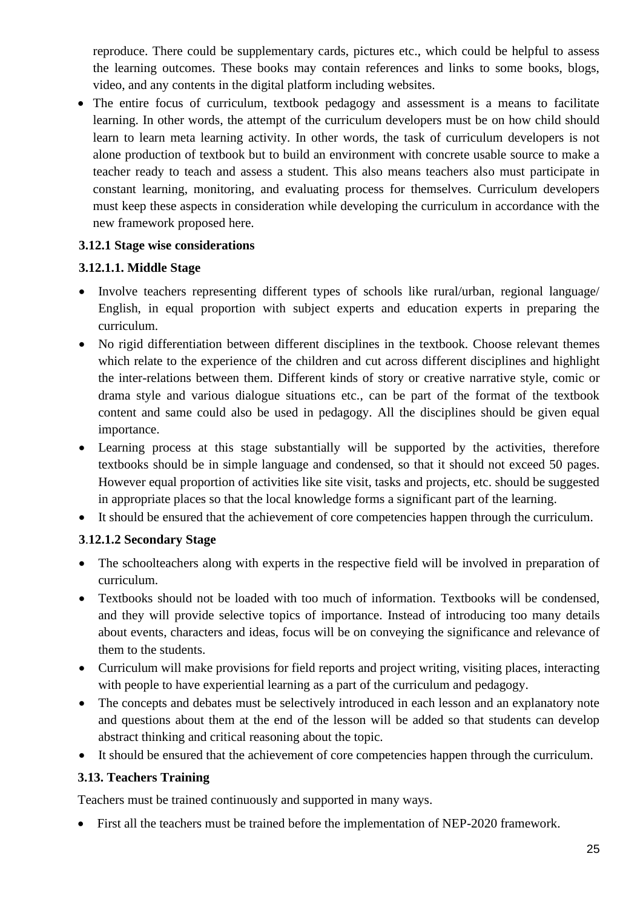reproduce. There could be supplementary cards, pictures etc., which could be helpful to assess the learning outcomes. These books may contain references and links to some books, blogs, video, and any contents in the digital platform including websites.

• The entire focus of curriculum, textbook pedagogy and assessment is a means to facilitate learning. In other words, the attempt of the curriculum developers must be on how child should learn to learn meta learning activity. In other words, the task of curriculum developers is not alone production of textbook but to build an environment with concrete usable source to make a teacher ready to teach and assess a student. This also means teachers also must participate in constant learning, monitoring, and evaluating process for themselves. Curriculum developers must keep these aspects in consideration while developing the curriculum in accordance with the new framework proposed here.

### **3.12.1 Stage wise considerations**

#### **3.12.1.1. Middle Stage**

- Involve teachers representing different types of schools like rural/urban, regional language/ English, in equal proportion with subject experts and education experts in preparing the curriculum.
- No rigid differentiation between different disciplines in the textbook. Choose relevant themes which relate to the experience of the children and cut across different disciplines and highlight the inter-relations between them. Different kinds of story or creative narrative style, comic or drama style and various dialogue situations etc., can be part of the format of the textbook content and same could also be used in pedagogy. All the disciplines should be given equal importance.
- Learning process at this stage substantially will be supported by the activities, therefore textbooks should be in simple language and condensed, so that it should not exceed 50 pages. However equal proportion of activities like site visit, tasks and projects, etc. should be suggested in appropriate places so that the local knowledge forms a significant part of the learning.
- It should be ensured that the achievement of core competencies happen through the curriculum.

#### **3**.**12.1.2 Secondary Stage**

- The schoolteachers along with experts in the respective field will be involved in preparation of curriculum.
- Textbooks should not be loaded with too much of information. Textbooks will be condensed, and they will provide selective topics of importance. Instead of introducing too many details about events, characters and ideas, focus will be on conveying the significance and relevance of them to the students.
- Curriculum will make provisions for field reports and project writing, visiting places, interacting with people to have experiential learning as a part of the curriculum and pedagogy.
- The concepts and debates must be selectively introduced in each lesson and an explanatory note and questions about them at the end of the lesson will be added so that students can develop abstract thinking and critical reasoning about the topic.
- It should be ensured that the achievement of core competencies happen through the curriculum.

#### **3.13. Teachers Training**

Teachers must be trained continuously and supported in many ways.

• First all the teachers must be trained before the implementation of NEP-2020 framework.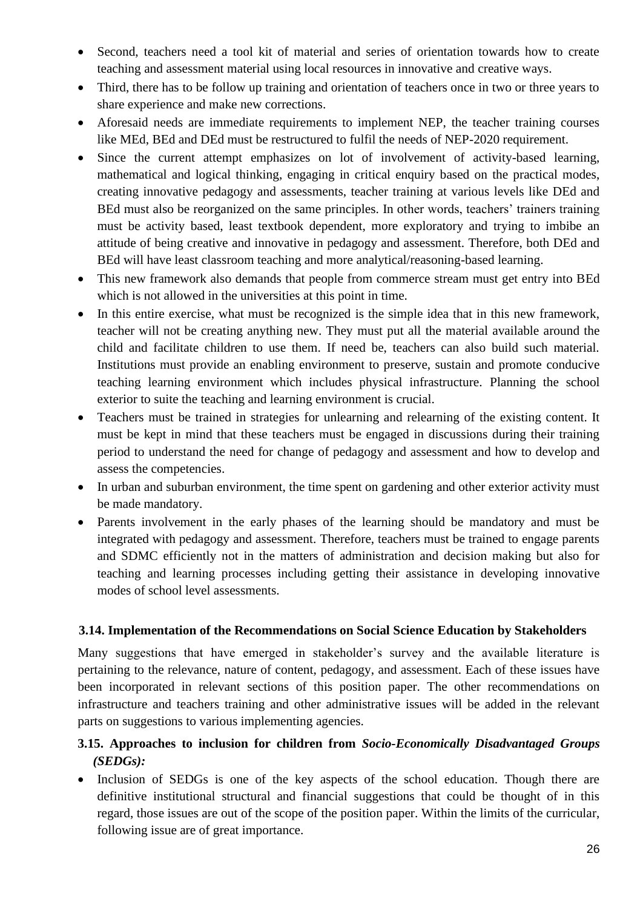- Second, teachers need a tool kit of material and series of orientation towards how to create teaching and assessment material using local resources in innovative and creative ways.
- Third, there has to be follow up training and orientation of teachers once in two or three years to share experience and make new corrections.
- Aforesaid needs are immediate requirements to implement NEP, the teacher training courses like MEd, BEd and DEd must be restructured to fulfil the needs of NEP-2020 requirement.
- Since the current attempt emphasizes on lot of involvement of activity-based learning, mathematical and logical thinking, engaging in critical enquiry based on the practical modes, creating innovative pedagogy and assessments, teacher training at various levels like DEd and BEd must also be reorganized on the same principles. In other words, teachers' trainers training must be activity based, least textbook dependent, more exploratory and trying to imbibe an attitude of being creative and innovative in pedagogy and assessment. Therefore, both DEd and BEd will have least classroom teaching and more analytical/reasoning-based learning.
- This new framework also demands that people from commerce stream must get entry into BEd which is not allowed in the universities at this point in time.
- In this entire exercise, what must be recognized is the simple idea that in this new framework, teacher will not be creating anything new. They must put all the material available around the child and facilitate children to use them. If need be, teachers can also build such material. Institutions must provide an enabling environment to preserve, sustain and promote conducive teaching learning environment which includes physical infrastructure. Planning the school exterior to suite the teaching and learning environment is crucial.
- Teachers must be trained in strategies for unlearning and relearning of the existing content. It must be kept in mind that these teachers must be engaged in discussions during their training period to understand the need for change of pedagogy and assessment and how to develop and assess the competencies.
- In urban and suburban environment, the time spent on gardening and other exterior activity must be made mandatory.
- Parents involvement in the early phases of the learning should be mandatory and must be integrated with pedagogy and assessment. Therefore, teachers must be trained to engage parents and SDMC efficiently not in the matters of administration and decision making but also for teaching and learning processes including getting their assistance in developing innovative modes of school level assessments.

#### **3.14. Implementation of the Recommendations on Social Science Education by Stakeholders**

Many suggestions that have emerged in stakeholder's survey and the available literature is pertaining to the relevance, nature of content, pedagogy, and assessment. Each of these issues have been incorporated in relevant sections of this position paper. The other recommendations on infrastructure and teachers training and other administrative issues will be added in the relevant parts on suggestions to various implementing agencies.

## **3.15. Approaches to inclusion for children from** *Socio-Economically Disadvantaged Groups (SEDGs):*

• Inclusion of SEDGs is one of the key aspects of the school education. Though there are definitive institutional structural and financial suggestions that could be thought of in this regard, those issues are out of the scope of the position paper. Within the limits of the curricular, following issue are of great importance.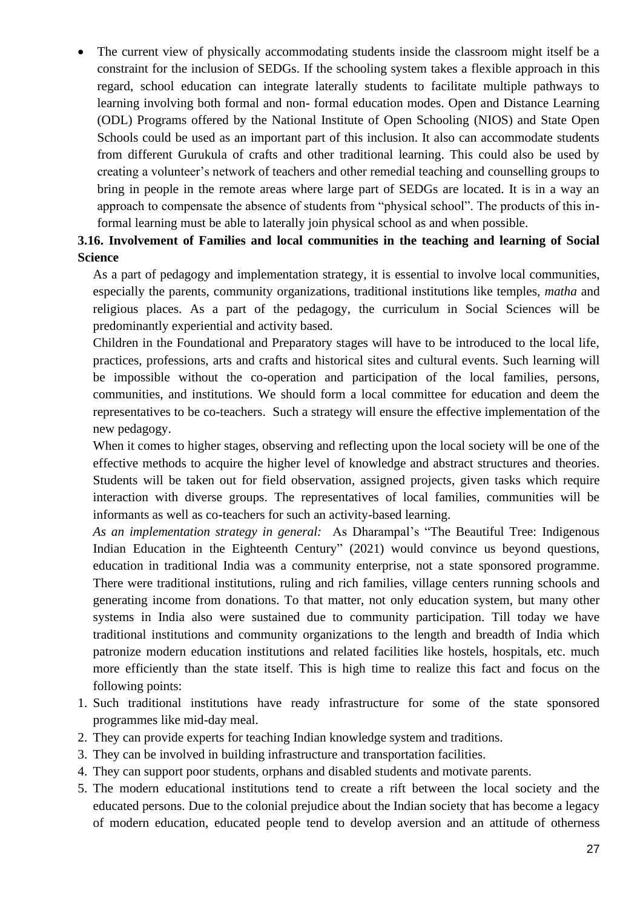• The current view of physically accommodating students inside the classroom might itself be a constraint for the inclusion of SEDGs. If the schooling system takes a flexible approach in this regard, school education can integrate laterally students to facilitate multiple pathways to learning involving both formal and non- formal education modes. Open and Distance Learning (ODL) Programs offered by the National Institute of Open Schooling (NIOS) and State Open Schools could be used as an important part of this inclusion. It also can accommodate students from different Gurukula of crafts and other traditional learning. This could also be used by creating a volunteer's network of teachers and other remedial teaching and counselling groups to bring in people in the remote areas where large part of SEDGs are located. It is in a way an approach to compensate the absence of students from "physical school". The products of this informal learning must be able to laterally join physical school as and when possible.

## **3.16. Involvement of Families and local communities in the teaching and learning of Social Science**

As a part of pedagogy and implementation strategy, it is essential to involve local communities, especially the parents, community organizations, traditional institutions like temples, *matha* and religious places. As a part of the pedagogy, the curriculum in Social Sciences will be predominantly experiential and activity based.

Children in the Foundational and Preparatory stages will have to be introduced to the local life, practices, professions, arts and crafts and historical sites and cultural events. Such learning will be impossible without the co-operation and participation of the local families, persons, communities, and institutions. We should form a local committee for education and deem the representatives to be co-teachers. Such a strategy will ensure the effective implementation of the new pedagogy.

When it comes to higher stages, observing and reflecting upon the local society will be one of the effective methods to acquire the higher level of knowledge and abstract structures and theories. Students will be taken out for field observation, assigned projects, given tasks which require interaction with diverse groups. The representatives of local families, communities will be informants as well as co-teachers for such an activity-based learning.

*As an implementation strategy in general:* As Dharampal's "The Beautiful Tree: Indigenous Indian Education in the Eighteenth Century" (2021) would convince us beyond questions, education in traditional India was a community enterprise, not a state sponsored programme. There were traditional institutions, ruling and rich families, village centers running schools and generating income from donations. To that matter, not only education system, but many other systems in India also were sustained due to community participation. Till today we have traditional institutions and community organizations to the length and breadth of India which patronize modern education institutions and related facilities like hostels, hospitals, etc. much more efficiently than the state itself. This is high time to realize this fact and focus on the following points:

- 1. Such traditional institutions have ready infrastructure for some of the state sponsored programmes like mid-day meal.
- 2. They can provide experts for teaching Indian knowledge system and traditions.
- 3. They can be involved in building infrastructure and transportation facilities.
- 4. They can support poor students, orphans and disabled students and motivate parents.
- 5. The modern educational institutions tend to create a rift between the local society and the educated persons. Due to the colonial prejudice about the Indian society that has become a legacy of modern education, educated people tend to develop aversion and an attitude of otherness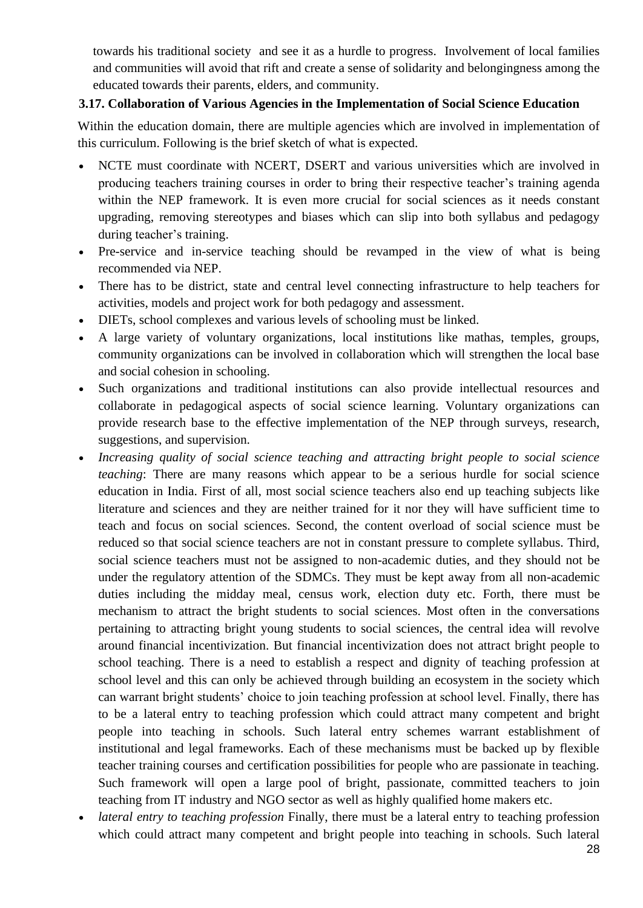towards his traditional society and see it as a hurdle to progress. Involvement of local families and communities will avoid that rift and create a sense of solidarity and belongingness among the educated towards their parents, elders, and community.

### **3.17. Collaboration of Various Agencies in the Implementation of Social Science Education**

Within the education domain, there are multiple agencies which are involved in implementation of this curriculum. Following is the brief sketch of what is expected.

- NCTE must coordinate with NCERT, DSERT and various universities which are involved in producing teachers training courses in order to bring their respective teacher's training agenda within the NEP framework. It is even more crucial for social sciences as it needs constant upgrading, removing stereotypes and biases which can slip into both syllabus and pedagogy during teacher's training.
- Pre-service and in-service teaching should be revamped in the view of what is being recommended via NEP.
- There has to be district, state and central level connecting infrastructure to help teachers for activities, models and project work for both pedagogy and assessment.
- DIETs, school complexes and various levels of schooling must be linked.
- A large variety of voluntary organizations, local institutions like mathas, temples, groups, community organizations can be involved in collaboration which will strengthen the local base and social cohesion in schooling.
- Such organizations and traditional institutions can also provide intellectual resources and collaborate in pedagogical aspects of social science learning. Voluntary organizations can provide research base to the effective implementation of the NEP through surveys, research, suggestions, and supervision.
- *Increasing quality of social science teaching and attracting bright people to social science teaching*: There are many reasons which appear to be a serious hurdle for social science education in India. First of all, most social science teachers also end up teaching subjects like literature and sciences and they are neither trained for it nor they will have sufficient time to teach and focus on social sciences. Second, the content overload of social science must be reduced so that social science teachers are not in constant pressure to complete syllabus. Third, social science teachers must not be assigned to non-academic duties, and they should not be under the regulatory attention of the SDMCs. They must be kept away from all non-academic duties including the midday meal, census work, election duty etc. Forth, there must be mechanism to attract the bright students to social sciences. Most often in the conversations pertaining to attracting bright young students to social sciences, the central idea will revolve around financial incentivization. But financial incentivization does not attract bright people to school teaching. There is a need to establish a respect and dignity of teaching profession at school level and this can only be achieved through building an ecosystem in the society which can warrant bright students' choice to join teaching profession at school level. Finally, there has to be a lateral entry to teaching profession which could attract many competent and bright people into teaching in schools. Such lateral entry schemes warrant establishment of institutional and legal frameworks. Each of these mechanisms must be backed up by flexible teacher training courses and certification possibilities for people who are passionate in teaching. Such framework will open a large pool of bright, passionate, committed teachers to join teaching from IT industry and NGO sector as well as highly qualified home makers etc.
- *lateral entry to teaching profession* Finally, there must be a lateral entry to teaching profession which could attract many competent and bright people into teaching in schools. Such lateral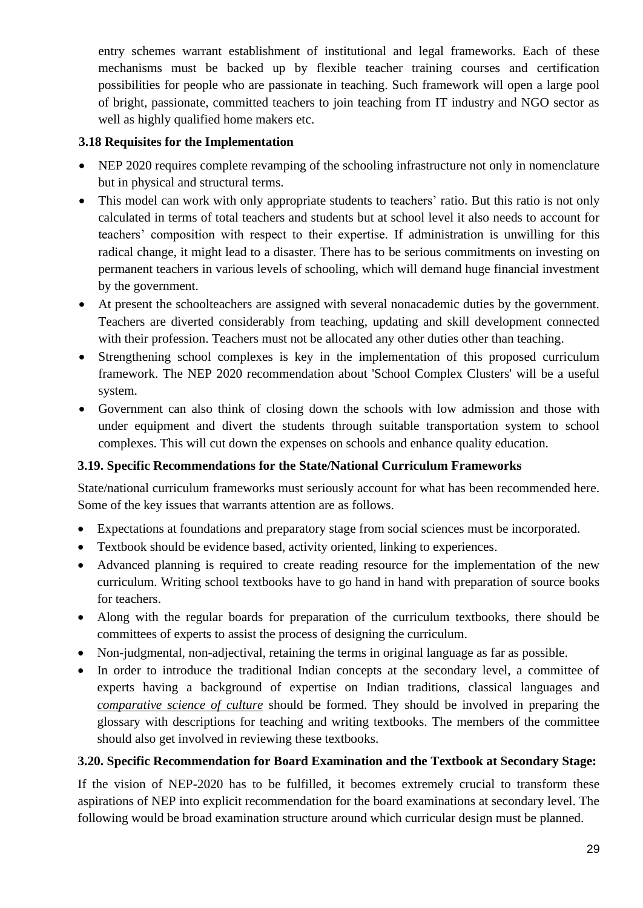entry schemes warrant establishment of institutional and legal frameworks. Each of these mechanisms must be backed up by flexible teacher training courses and certification possibilities for people who are passionate in teaching. Such framework will open a large pool of bright, passionate, committed teachers to join teaching from IT industry and NGO sector as well as highly qualified home makers etc.

### **3.18 Requisites for the Implementation**

- NEP 2020 requires complete revamping of the schooling infrastructure not only in nomenclature but in physical and structural terms.
- This model can work with only appropriate students to teachers' ratio. But this ratio is not only calculated in terms of total teachers and students but at school level it also needs to account for teachers' composition with respect to their expertise. If administration is unwilling for this radical change, it might lead to a disaster. There has to be serious commitments on investing on permanent teachers in various levels of schooling, which will demand huge financial investment by the government.
- At present the schoolteachers are assigned with several nonacademic duties by the government. Teachers are diverted considerably from teaching, updating and skill development connected with their profession. Teachers must not be allocated any other duties other than teaching.
- Strengthening school complexes is key in the implementation of this proposed curriculum framework. The NEP 2020 recommendation about 'School Complex Clusters' will be a useful system.
- Government can also think of closing down the schools with low admission and those with under equipment and divert the students through suitable transportation system to school complexes. This will cut down the expenses on schools and enhance quality education.

### **3.19. Specific Recommendations for the State/National Curriculum Frameworks**

State/national curriculum frameworks must seriously account for what has been recommended here. Some of the key issues that warrants attention are as follows.

- Expectations at foundations and preparatory stage from social sciences must be incorporated.
- Textbook should be evidence based, activity oriented, linking to experiences.
- Advanced planning is required to create reading resource for the implementation of the new curriculum. Writing school textbooks have to go hand in hand with preparation of source books for teachers.
- Along with the regular boards for preparation of the curriculum textbooks, there should be committees of experts to assist the process of designing the curriculum.
- Non-judgmental, non-adjectival, retaining the terms in original language as far as possible.
- In order to introduce the traditional Indian concepts at the secondary level, a committee of experts having a background of expertise on Indian traditions, classical languages and *comparative science of culture* should be formed. They should be involved in preparing the glossary with descriptions for teaching and writing textbooks. The members of the committee should also get involved in reviewing these textbooks.

### **3.20. Specific Recommendation for Board Examination and the Textbook at Secondary Stage:**

If the vision of NEP-2020 has to be fulfilled, it becomes extremely crucial to transform these aspirations of NEP into explicit recommendation for the board examinations at secondary level. The following would be broad examination structure around which curricular design must be planned.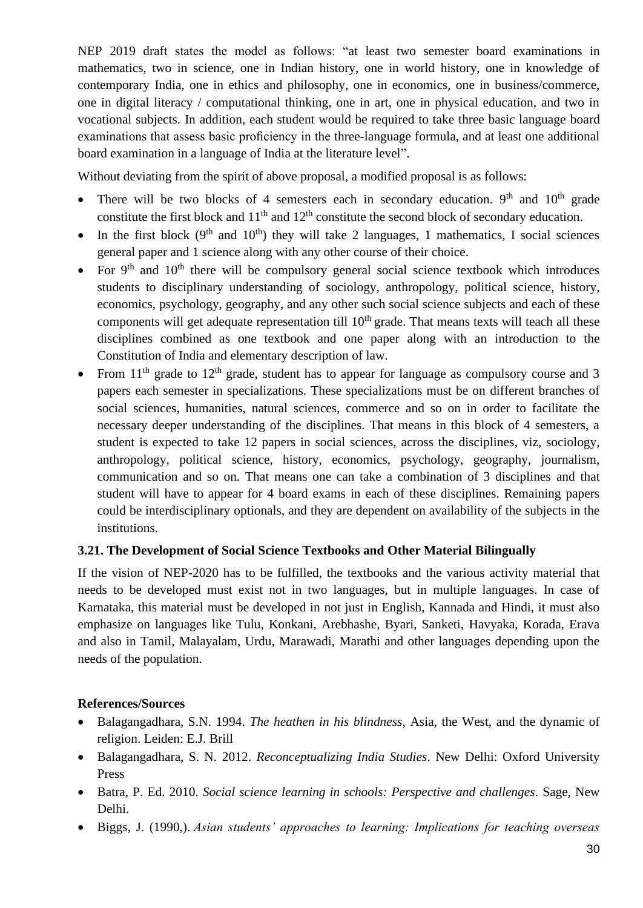NEP 2019 draft states the model as follows: "at least two semester board examinations in mathematics, two in science, one in Indian history, one in world history, one in knowledge of contemporary India, one in ethics and philosophy, one in economics, one in business/commerce, one in digital literacy / computational thinking, one in art, one in physical education, and two in vocational subjects. In addition, each student would be required to take three basic language board examinations that assess basic proficiency in the three-language formula, and at least one additional board examination in a language of India at the literature level".

Without deviating from the spirit of above proposal, a modified proposal is as follows:

- There will be two blocks of 4 semesters each in secondary education.  $9<sup>th</sup>$  and  $10<sup>th</sup>$  grade constitute the first block and  $11<sup>th</sup>$  and  $12<sup>th</sup>$  constitute the second block of secondary education.
- In the first block  $(9<sup>th</sup>$  and  $10<sup>th</sup>)$  they will take 2 languages, 1 mathematics, I social sciences general paper and 1 science along with any other course of their choice.
- For  $9<sup>th</sup>$  and  $10<sup>th</sup>$  there will be compulsory general social science textbook which introduces students to disciplinary understanding of sociology, anthropology, political science, history, economics, psychology, geography, and any other such social science subjects and each of these components will get adequate representation till  $10<sup>th</sup>$  grade. That means texts will teach all these disciplines combined as one textbook and one paper along with an introduction to the Constitution of India and elementary description of law.
- From  $11<sup>th</sup>$  grade to  $12<sup>th</sup>$  grade, student has to appear for language as compulsory course and 3 papers each semester in specializations. These specializations must be on different branches of social sciences, humanities, natural sciences, commerce and so on in order to facilitate the necessary deeper understanding of the disciplines. That means in this block of 4 semesters, a student is expected to take 12 papers in social sciences, across the disciplines, viz, sociology, anthropology, political science, history, economics, psychology, geography, journalism, communication and so on. That means one can take a combination of 3 disciplines and that student will have to appear for 4 board exams in each of these disciplines. Remaining papers could be interdisciplinary optionals, and they are dependent on availability of the subjects in the institutions.

### **3.21. The Development of Social Science Textbooks and Other Material Bilingually**

If the vision of NEP-2020 has to be fulfilled, the textbooks and the various activity material that needs to be developed must exist not in two languages, but in multiple languages. In case of Karnataka, this material must be developed in not just in English, Kannada and Hindi, it must also emphasize on languages like Tulu, Konkani, Arebhashe, Byari, Sanketi, Havyaka, Korada, Erava and also in Tamil, Malayalam, Urdu, Marawadi, Marathi and other languages depending upon the needs of the population.

#### **References/Sources**

- Balagangadhara, S.N. 1994. *The heathen in his blindness*, Asia, the West, and the dynamic of religion. Leiden: E.J. Brill
- Balagangadhara, S. N. 2012. *Reconceptualizing India Studies*. New Delhi: Oxford University Press
- Batra, P. Ed. 2010. *Social science learning in schools: Perspective and challenges*. Sage, New Delhi.
- Biggs, J. (1990,). *Asian students' approaches to learning: Implications for teaching overseas*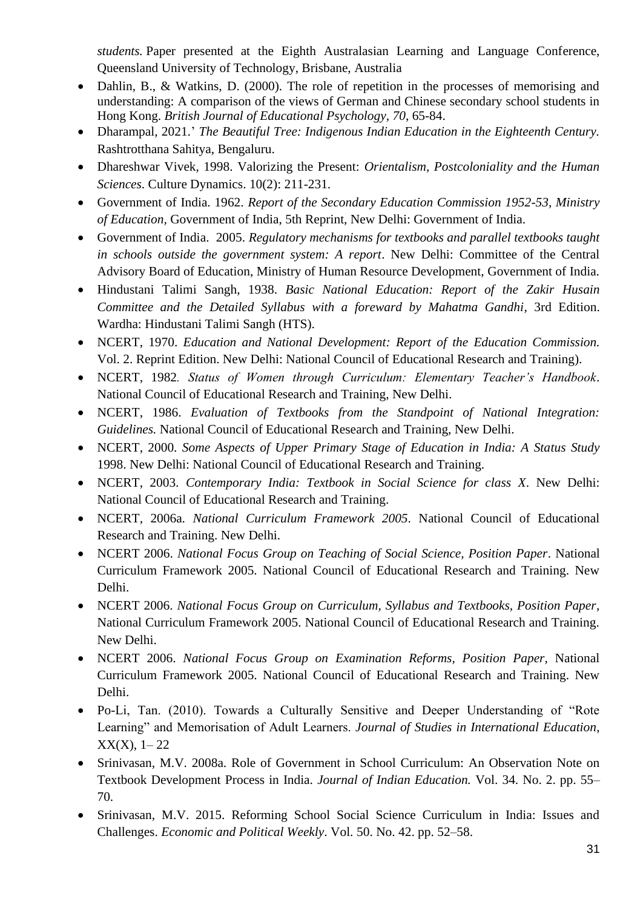*students.* Paper presented at the Eighth Australasian Learning and Language Conference, Queensland University of Technology, Brisbane, Australia

- Dahlin, B., & Watkins, D. (2000). The role of repetition in the processes of memorising and understanding: A comparison of the views of German and Chinese secondary school students in Hong Kong. *British Journal of Educational Psychology, 70*, 65-84.
- Dharampal, 2021.' *The Beautiful Tree: Indigenous Indian Education in the Eighteenth Century.* Rashtrotthana Sahitya, Bengaluru.
- Dhareshwar Vivek, 1998. Valorizing the Present: *Orientalism, Postcoloniality and the Human Sciences*. Culture Dynamics. 10(2): 211-231.
- Government of India. 1962. *Report of the Secondary Education Commission 1952-53, Ministry of Education,* Government of India, 5th Reprint, New Delhi: Government of India.
- Government of India. 2005. *Regulatory mechanisms for textbooks and parallel textbooks taught in schools outside the government system: A report*. New Delhi: Committee of the Central Advisory Board of Education, Ministry of Human Resource Development, Government of India.
- Hindustani Talimi Sangh, 1938. *Basic National Education: Report of the Zakir Husain Committee and the Detailed Syllabus with a foreward by Mahatma Gandhi*, 3rd Edition. Wardha: Hindustani Talimi Sangh (HTS).
- NCERT, 1970. *Education and National Development: Report of the Education Commission.* Vol. 2. Reprint Edition. New Delhi: National Council of Educational Research and Training).
- NCERT, 1982*. Status of Women through Curriculum: Elementary Teacher's Handbook*. National Council of Educational Research and Training, New Delhi.
- NCERT, 1986. *Evaluation of Textbooks from the Standpoint of National Integration: Guidelines.* National Council of Educational Research and Training, New Delhi.
- NCERT, 2000. *Some Aspects of Upper Primary Stage of Education in India: A Status Study* 1998. New Delhi: National Council of Educational Research and Training.
- NCERT, 2003. *Contemporary India: Textbook in Social Science for class X*. New Delhi: National Council of Educational Research and Training.
- NCERT, 2006a. *National Curriculum Framework 2005*. National Council of Educational Research and Training. New Delhi.
- NCERT 2006. *National Focus Group on Teaching of Social Science, Position Paper*. National Curriculum Framework 2005. National Council of Educational Research and Training. New Delhi.
- NCERT 2006. *National Focus Group on Curriculum, Syllabus and Textbooks, Position Paper*, National Curriculum Framework 2005. National Council of Educational Research and Training. New Delhi.
- NCERT 2006. *National Focus Group on Examination Reforms, Position Paper*, National Curriculum Framework 2005. National Council of Educational Research and Training. New Delhi.
- Po-Li, Tan. (2010). Towards a Culturally Sensitive and Deeper Understanding of "Rote Learning" and Memorisation of Adult Learners. *Journal of Studies in International Education*,  $XX(X)$ , 1–22
- Srinivasan, M.V. 2008a. Role of Government in School Curriculum: An Observation Note on Textbook Development Process in India. *Journal of Indian Education.* Vol. 34. No. 2. pp. 55– 70.
- Srinivasan, M.V. 2015. Reforming School Social Science Curriculum in India: Issues and Challenges. *Economic and Political Weekly*. Vol. 50. No. 42. pp. 52–58.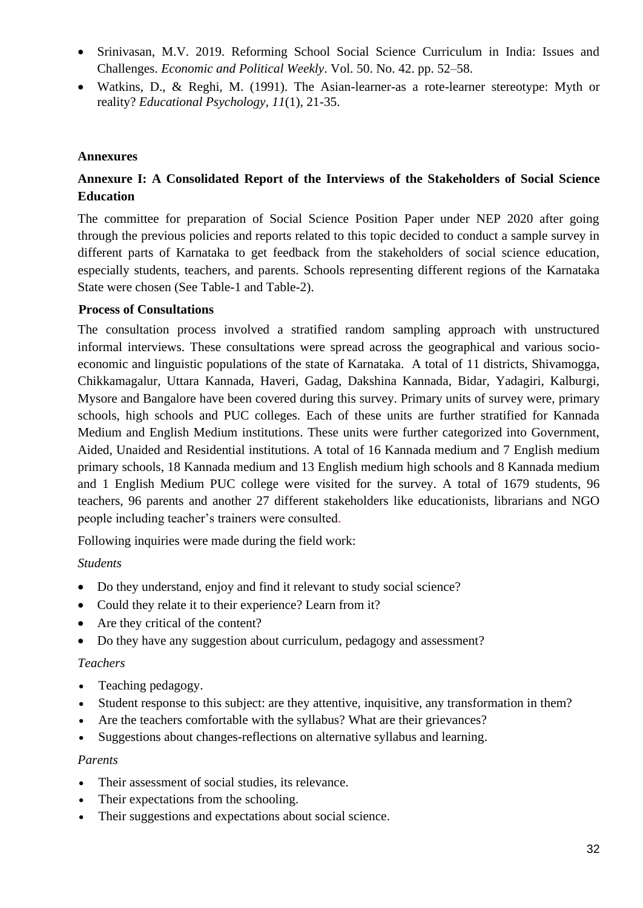- Srinivasan, M.V. 2019. Reforming School Social Science Curriculum in India: Issues and Challenges. *Economic and Political Weekly*. Vol. 50. No. 42. pp. 52–58.
- Watkins, D., & Reghi, M. (1991). The Asian-learner-as a rote-learner stereotype: Myth or reality? *Educational Psychology, 11*(1), 21-35.

#### **Annexures**

## **Annexure I: A Consolidated Report of the Interviews of the Stakeholders of Social Science Education**

The committee for preparation of Social Science Position Paper under NEP 2020 after going through the previous policies and reports related to this topic decided to conduct a sample survey in different parts of Karnataka to get feedback from the stakeholders of social science education, especially students, teachers, and parents. Schools representing different regions of the Karnataka State were chosen (See Table-1 and Table-2).

#### **Process of Consultations**

The consultation process involved a stratified random sampling approach with unstructured informal interviews. These consultations were spread across the geographical and various socioeconomic and linguistic populations of the state of Karnataka. A total of 11 districts, Shivamogga, Chikkamagalur, Uttara Kannada, Haveri, Gadag, Dakshina Kannada, Bidar, Yadagiri, Kalburgi, Mysore and Bangalore have been covered during this survey. Primary units of survey were, primary schools, high schools and PUC colleges. Each of these units are further stratified for Kannada Medium and English Medium institutions. These units were further categorized into Government, Aided, Unaided and Residential institutions. A total of 16 Kannada medium and 7 English medium primary schools, 18 Kannada medium and 13 English medium high schools and 8 Kannada medium and 1 English Medium PUC college were visited for the survey. A total of 1679 students, 96 teachers, 96 parents and another 27 different stakeholders like educationists, librarians and NGO people including teacher's trainers were consulted.

Following inquiries were made during the field work:

#### *Students*

- Do they understand, enjoy and find it relevant to study social science?
- Could they relate it to their experience? Learn from it?
- Are they critical of the content?
- Do they have any suggestion about curriculum, pedagogy and assessment?

#### *Teachers*

- Teaching pedagogy.
- Student response to this subject: are they attentive, inquisitive, any transformation in them?
- Are the teachers comfortable with the syllabus? What are their grievances?
- Suggestions about changes-reflections on alternative syllabus and learning.

#### *Parents*

- Their assessment of social studies, its relevance.
- Their expectations from the schooling.
- Their suggestions and expectations about social science.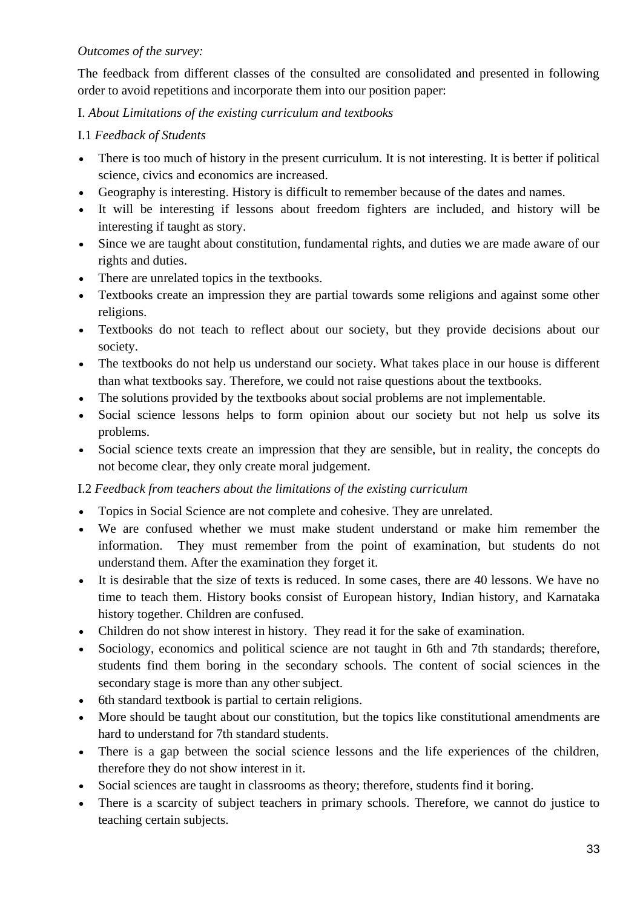### *Outcomes of the survey:*

The feedback from different classes of the consulted are consolidated and presented in following order to avoid repetitions and incorporate them into our position paper:

### I. *About Limitations of the existing curriculum and textbooks*

### I.1 *Feedback of Students*

- There is too much of history in the present curriculum. It is not interesting. It is better if political science, civics and economics are increased.
- Geography is interesting. History is difficult to remember because of the dates and names.
- It will be interesting if lessons about freedom fighters are included, and history will be interesting if taught as story.
- Since we are taught about constitution, fundamental rights, and duties we are made aware of our rights and duties.
- There are unrelated topics in the textbooks.
- Textbooks create an impression they are partial towards some religions and against some other religions.
- Textbooks do not teach to reflect about our society, but they provide decisions about our society.
- The textbooks do not help us understand our society. What takes place in our house is different than what textbooks say. Therefore, we could not raise questions about the textbooks.
- The solutions provided by the textbooks about social problems are not implementable.
- Social science lessons helps to form opinion about our society but not help us solve its problems.
- Social science texts create an impression that they are sensible, but in reality, the concepts do not become clear, they only create moral judgement.

### I.2 *Feedback from teachers about the limitations of the existing curriculum*

- Topics in Social Science are not complete and cohesive. They are unrelated.
- We are confused whether we must make student understand or make him remember the information. They must remember from the point of examination, but students do not understand them. After the examination they forget it.
- It is desirable that the size of texts is reduced. In some cases, there are 40 lessons. We have no time to teach them. History books consist of European history, Indian history, and Karnataka history together. Children are confused.
- Children do not show interest in history. They read it for the sake of examination.
- Sociology, economics and political science are not taught in 6th and 7th standards; therefore, students find them boring in the secondary schools. The content of social sciences in the secondary stage is more than any other subject.
- 6th standard textbook is partial to certain religions.
- More should be taught about our constitution, but the topics like constitutional amendments are hard to understand for 7th standard students.
- There is a gap between the social science lessons and the life experiences of the children, therefore they do not show interest in it.
- Social sciences are taught in classrooms as theory; therefore, students find it boring.
- There is a scarcity of subject teachers in primary schools. Therefore, we cannot do justice to teaching certain subjects.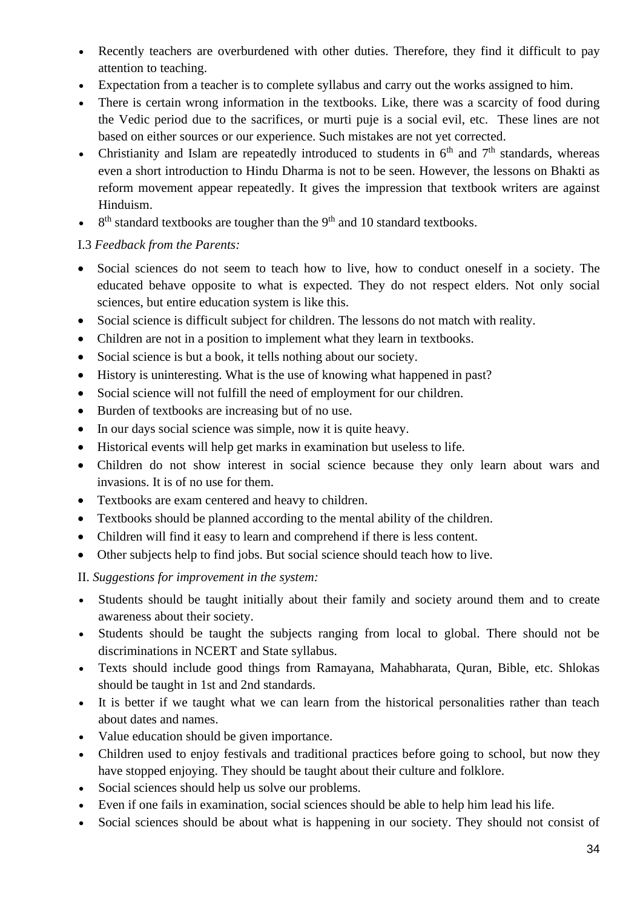- Recently teachers are overburdened with other duties. Therefore, they find it difficult to pay attention to teaching.
- Expectation from a teacher is to complete syllabus and carry out the works assigned to him.
- There is certain wrong information in the textbooks. Like, there was a scarcity of food during the Vedic period due to the sacrifices, or murti puje is a social evil, etc. These lines are not based on either sources or our experience. Such mistakes are not yet corrected.
- Christianity and Islam are repeatedly introduced to students in  $6<sup>th</sup>$  and  $7<sup>th</sup>$  standards, whereas even a short introduction to Hindu Dharma is not to be seen. However, the lessons on Bhakti as reform movement appear repeatedly. It gives the impression that textbook writers are against Hinduism.
- $\bullet$  8<sup>th</sup> standard textbooks are tougher than the 9<sup>th</sup> and 10 standard textbooks.

## I.3 *Feedback from the Parents:*

- Social sciences do not seem to teach how to live, how to conduct oneself in a society. The educated behave opposite to what is expected. They do not respect elders. Not only social sciences, but entire education system is like this.
- Social science is difficult subject for children. The lessons do not match with reality.
- Children are not in a position to implement what they learn in textbooks.
- Social science is but a book, it tells nothing about our society.
- History is uninteresting. What is the use of knowing what happened in past?
- Social science will not fulfill the need of employment for our children.
- Burden of textbooks are increasing but of no use.
- In our days social science was simple, now it is quite heavy.
- Historical events will help get marks in examination but useless to life.
- Children do not show interest in social science because they only learn about wars and invasions. It is of no use for them.
- Textbooks are exam centered and heavy to children.
- Textbooks should be planned according to the mental ability of the children.
- Children will find it easy to learn and comprehend if there is less content.
- Other subjects help to find jobs. But social science should teach how to live.

II. *Suggestions for improvement in the system:*

- Students should be taught initially about their family and society around them and to create awareness about their society.
- Students should be taught the subjects ranging from local to global. There should not be discriminations in NCERT and State syllabus.
- Texts should include good things from Ramayana, Mahabharata, Quran, Bible, etc. Shlokas should be taught in 1st and 2nd standards.
- It is better if we taught what we can learn from the historical personalities rather than teach about dates and names.
- Value education should be given importance.
- Children used to enjoy festivals and traditional practices before going to school, but now they have stopped enjoying. They should be taught about their culture and folklore.
- Social sciences should help us solve our problems.
- Even if one fails in examination, social sciences should be able to help him lead his life.
- Social sciences should be about what is happening in our society. They should not consist of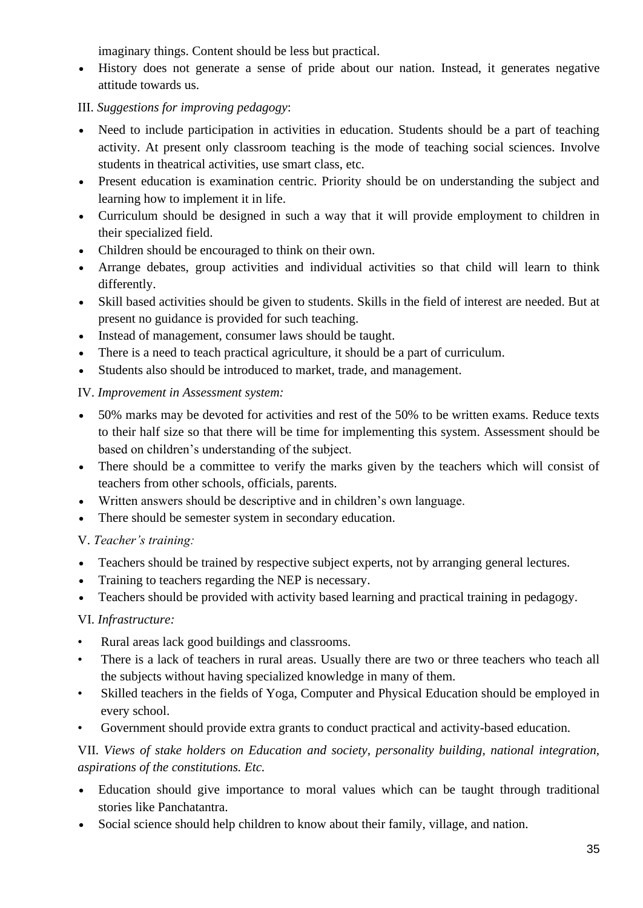imaginary things. Content should be less but practical.

• History does not generate a sense of pride about our nation. Instead, it generates negative attitude towards us.

## III. *Suggestions for improving pedagogy*:

- Need to include participation in activities in education. Students should be a part of teaching activity. At present only classroom teaching is the mode of teaching social sciences. Involve students in theatrical activities, use smart class, etc.
- Present education is examination centric. Priority should be on understanding the subject and learning how to implement it in life.
- Curriculum should be designed in such a way that it will provide employment to children in their specialized field.
- Children should be encouraged to think on their own.
- Arrange debates, group activities and individual activities so that child will learn to think differently.
- Skill based activities should be given to students. Skills in the field of interest are needed. But at present no guidance is provided for such teaching.
- Instead of management, consumer laws should be taught.
- There is a need to teach practical agriculture, it should be a part of curriculum.
- Students also should be introduced to market, trade, and management.

## IV. *Improvement in Assessment system:*

- 50% marks may be devoted for activities and rest of the 50% to be written exams. Reduce texts to their half size so that there will be time for implementing this system. Assessment should be based on children's understanding of the subject.
- There should be a committee to verify the marks given by the teachers which will consist of teachers from other schools, officials, parents.
- Written answers should be descriptive and in children's own language.
- There should be semester system in secondary education.

# V. *Teacher's training:*

- Teachers should be trained by respective subject experts, not by arranging general lectures.
- Training to teachers regarding the NEP is necessary.
- Teachers should be provided with activity based learning and practical training in pedagogy.

### VI. *Infrastructure:*

- Rural areas lack good buildings and classrooms.
- There is a lack of teachers in rural areas. Usually there are two or three teachers who teach all the subjects without having specialized knowledge in many of them.
- Skilled teachers in the fields of Yoga, Computer and Physical Education should be employed in every school.
- Government should provide extra grants to conduct practical and activity-based education.

VII. *Views of stake holders on Education and society, personality building, national integration, aspirations of the constitutions. Etc.*

- Education should give importance to moral values which can be taught through traditional stories like Panchatantra.
- Social science should help children to know about their family, village, and nation.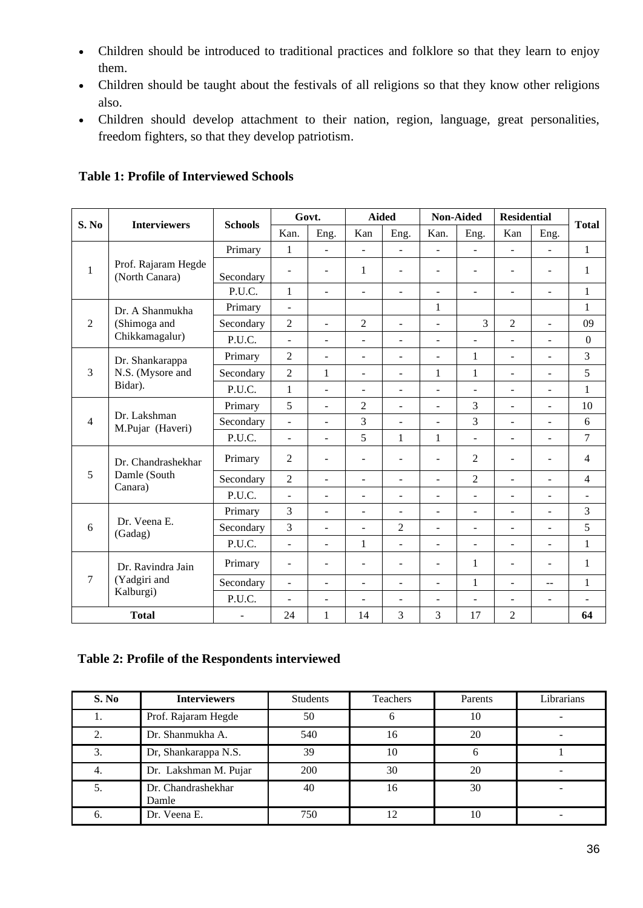- Children should be introduced to traditional practices and folklore so that they learn to enjoy them.
- Children should be taught about the festivals of all religions so that they know other religions also.
- Children should develop attachment to their nation, region, language, great personalities, freedom fighters, so that they develop patriotism.

| S. No          | <b>Interviewers</b>                               | <b>Schools</b>           | Govt.                        |                          | <b>Aided</b>             |                          | <b>Non-Aided</b>         |                              | <b>Residential</b>       |                          |                |
|----------------|---------------------------------------------------|--------------------------|------------------------------|--------------------------|--------------------------|--------------------------|--------------------------|------------------------------|--------------------------|--------------------------|----------------|
|                |                                                   |                          | Kan.                         | Eng.                     | Kan                      | Eng.                     | Kan.                     | Eng.                         | Kan                      | Eng.                     | <b>Total</b>   |
| 1              | Prof. Rajaram Hegde<br>(North Canara)             | Primary                  | $\mathbf{1}$                 | ÷,                       | ÷.                       | ÷,                       | $\bar{\phantom{a}}$      | $\overline{\phantom{a}}$     | $\blacksquare$           | $\blacksquare$           | $\mathbf{1}$   |
|                |                                                   | Secondary                | $\overline{\phantom{a}}$     | $\overline{\phantom{a}}$ | $\mathbf{1}$             | $\overline{\phantom{0}}$ | $\blacksquare$           | $\overline{\phantom{a}}$     | $\sim$                   | $\blacksquare$           | 1              |
|                |                                                   | P.U.C.                   | $\mathbf{1}$                 | $\overline{a}$           | $\blacksquare$           | $\overline{\phantom{0}}$ | $\overline{\phantom{a}}$ | $\overline{\phantom{a}}$     | $\overline{\phantom{a}}$ | $\blacksquare$           | $\mathbf{1}$   |
| $\overline{2}$ | Dr. A Shanmukha<br>(Shimoga and<br>Chikkamagalur) | Primary                  | $\overline{\phantom{a}}$     |                          |                          |                          | $\mathbf{1}$             |                              |                          |                          | 1              |
|                |                                                   | Secondary                | $\mathfrak{2}$               | L,                       | $\overline{2}$           | $\overline{a}$           | ÷.                       | 3                            | $\overline{c}$           | $\overline{a}$           | 09             |
|                |                                                   | P.U.C.                   | ÷,                           | $\overline{\phantom{a}}$ | ٠                        | $\overline{\phantom{0}}$ | $\blacksquare$           | $\overline{\phantom{a}}$     | $\sim$                   | $\blacksquare$           | $\Omega$       |
| 3              | Dr. Shankarappa<br>N.S. (Mysore and<br>Bidar).    | Primary                  | $\mathfrak{2}$               | $\overline{a}$           | ÷                        | $\overline{\phantom{0}}$ | ÷                        | 1                            | $\blacksquare$           | $\overline{a}$           | 3              |
|                |                                                   | Secondary                | $\overline{2}$               | 1                        | ٠                        | ÷,                       | 1                        | $\mathbf{1}$                 | ÷,                       | ÷                        | 5              |
|                |                                                   | P.U.C.                   | $\mathbf{1}$                 | $\overline{a}$           | $\overline{\phantom{a}}$ | $\overline{\phantom{0}}$ | $\overline{\phantom{a}}$ | $\blacksquare$               | $\overline{\phantom{a}}$ | $\blacksquare$           | $\mathbf{1}$   |
| $\overline{4}$ | Dr. Lakshman<br>M.Pujar (Haveri)                  | Primary                  | 5                            | $\overline{a}$           | $\overline{2}$           | $\overline{a}$           | $\sim$                   | 3                            | $\blacksquare$           | $\overline{a}$           | 10             |
|                |                                                   | Secondary                | ÷,                           | $\overline{a}$           | $\overline{3}$           | ÷,                       | $\omega$                 | $\overline{3}$               | $\blacksquare$           | $\sim$                   | 6              |
|                |                                                   | P.U.C.                   | $\overline{\phantom{a}}$     | $\overline{a}$           | 5                        | $\mathbf{1}$             | $\mathbf{1}$             | $\blacksquare$               | $\overline{\phantom{a}}$ | $\overline{\phantom{a}}$ | 7              |
| 5              | Dr. Chandrashekhar<br>Damle (South<br>Canara)     | Primary                  | $\overline{c}$               | $\overline{a}$           | $\blacksquare$           | $\overline{a}$           | $\sim$                   | 2                            | $\sim$                   | $\overline{a}$           | 4              |
|                |                                                   | Secondary                | $\overline{2}$               | ÷,                       | ٠                        | $\overline{\phantom{0}}$ | ÷.                       | $\overline{2}$               | $\blacksquare$           | $\sim$                   | $\overline{4}$ |
|                |                                                   | P.U.C.                   | $\overline{a}$               | L,                       | ٠                        | $\overline{\phantom{0}}$ | $\blacksquare$           | $\overline{\phantom{a}}$     | $\blacksquare$           | $\blacksquare$           | $\overline{a}$ |
| 6              | Dr. Veena E.<br>(Gadag)                           | Primary                  | 3                            | $\overline{a}$           | ÷                        | $\overline{\phantom{0}}$ | $\blacksquare$           | $\blacksquare$               | $\blacksquare$           | $\overline{a}$           | 3              |
|                |                                                   | Secondary                | 3                            | $\overline{a}$           | ÷.                       | $\overline{2}$           | $\overline{a}$           | $\overline{a}$               | $\blacksquare$           | $\overline{a}$           | 5              |
|                |                                                   | P.U.C.                   | $\blacksquare$               | $\overline{a}$           | $\mathbf{1}$             | $\overline{\phantom{0}}$ | $\overline{\phantom{a}}$ | $\qquad \qquad \blacksquare$ | $\overline{\phantom{a}}$ | $\overline{\phantom{a}}$ | $\mathbf{1}$   |
| $\tau$         | Dr. Ravindra Jain<br>(Yadgiri and<br>Kalburgi)    | Primary                  | $\qquad \qquad \blacksquare$ | $\overline{a}$           | ÷,                       | $\overline{\phantom{0}}$ | $\overline{\phantom{a}}$ | $\mathbf{1}$                 | $\overline{\phantom{a}}$ | $\blacksquare$           | 1              |
|                |                                                   | Secondary                | ÷,                           | $\overline{a}$           | $\overline{\phantom{0}}$ | $\overline{\phantom{0}}$ | $\overline{\phantom{a}}$ | $\mathbf{1}$                 | $\blacksquare$           | $\overline{\phantom{a}}$ | $\mathbf{1}$   |
|                |                                                   | P.U.C.                   | $\overline{a}$               | ÷,                       | ÷.                       | $\overline{a}$           | $\sim$                   | $\blacksquare$               | $\blacksquare$           | $\overline{\phantom{a}}$ | $\overline{a}$ |
| <b>Total</b>   |                                                   | $\overline{\phantom{0}}$ | 24                           | 1                        | 14                       | 3                        | 3                        | 17                           | $\overline{c}$           |                          | 64             |

**Table 1: Profile of Interviewed Schools**

#### **Table 2: Profile of the Respondents interviewed**

| S. No    | <b>Interviewers</b>         | <b>Students</b> | <b>Teachers</b> | Parents | Librarians |
|----------|-----------------------------|-----------------|-----------------|---------|------------|
|          | Prof. Rajaram Hegde         | 50              | h               | 10      |            |
| $\gamma$ | Dr. Shanmukha A.            | 540             | 16              | 20      |            |
| 3        | Dr, Shankarappa N.S.        | 39              | 10              |         |            |
|          | Dr. Lakshman M. Pujar       | 200             | 30              | 20      |            |
|          | Dr. Chandrashekhar<br>Damle | 40              | 16              | 30      |            |
| b.       | Dr. Veena E.                | 750             | 12              | 10      |            |